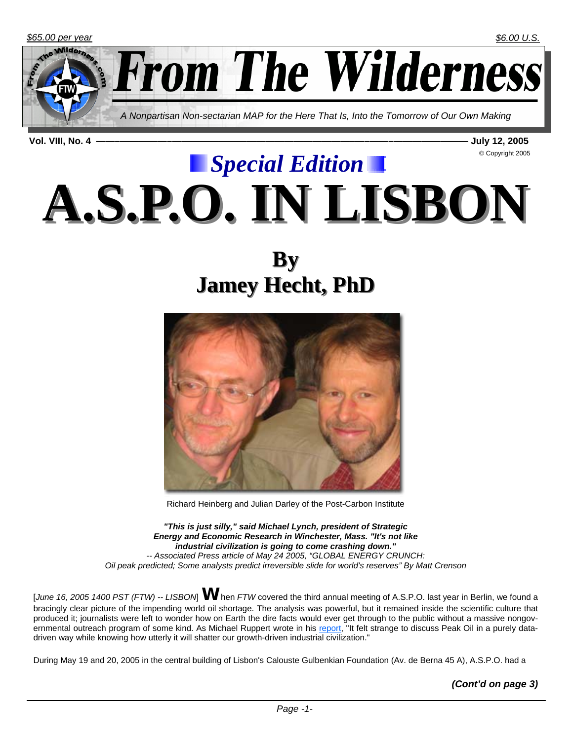*\$65.00 per year \$6.00 U.S.*

**From The Wilderness** 

*A Nonpartisan Non-sectarian MAP for the Here That Is, Into the Tomorrow of Our Own Making* 

**Vol. VIII, No. 4 ——–—————–———————————————————–—–——–———————— July 12, 2005** 

© Copyright 2005

# **A.S.P.O. IN LISBON A.S.P.O. IN LISBON**  *Special Edition*

# **By Jamey Hecht, PhD Jamey Hecht, PhD**



Richard Heinberg and Julian Darley of the Post-Carbon Institute

*"This is just silly," said Michael Lynch, president of Strategic Energy and Economic Research in Winchester, Mass. "It's not like industrial civilization is going to come crashing down." -- Associated Press article of May 24 2005, "GLOBAL ENERGY CRUNCH: Oil peak predicted; Some analysts predict irreversible slide for world's reserves" By Matt Crenson*

[*June 16, 2005 1400 PST (FTW) -- LISBON*]**W**hen *FTW* covered the third annual meeting of A.S.P.O. last year in Berlin, we found a bracingly clear picture of the impending world oil shortage. The analysis was powerful, but it remained inside the scientific culture that produced it; journalists were left to wonder how on Earth the dire facts would ever get through to the public without a massive nongovernmental outreach program of some kind. As Michael Ruppert wrote in his report, "It felt strange to discuss Peak Oil in a purely datadriven way while knowing how utterly it will shatter our growth-driven industrial civilization."

During May 19 and 20, 2005 in the central building of Lisbon's Calouste Gulbenkian Foundation (Av. de Berna 45 A), A.S.P.O. had a

*(Cont'd on page 3)*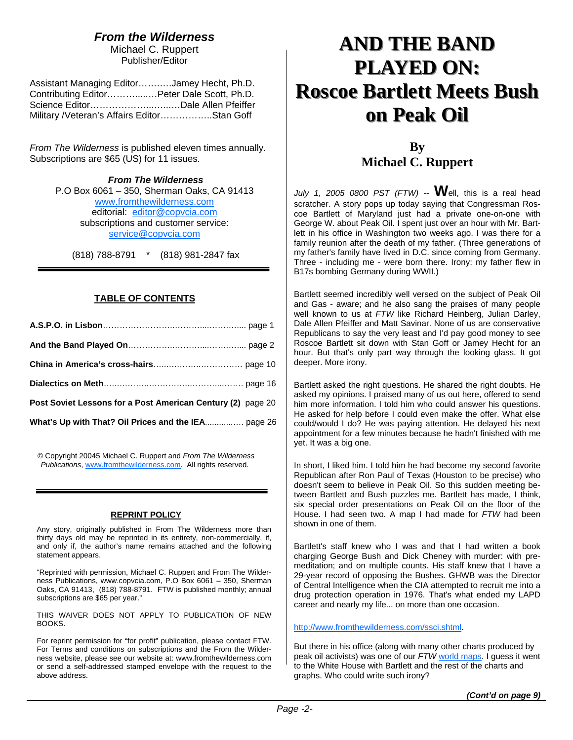### *From the Wilderness*

Michael C. Ruppert Publisher/Editor

| Assistant Managing EditorJamey Hecht, Ph.D. |  |
|---------------------------------------------|--|
| Contributing EditorPeter Dale Scott, Ph.D.  |  |
|                                             |  |
| Military /Veteran's Affairs EditorStan Goff |  |

*From The Wilderness* is published eleven times annually. Subscriptions are \$65 (US) for 11 issues.

> *From The Wilderness*  P.O Box 6061 – 350, Sherman Oaks, CA 91413 www.fromthewilderness.com editorial: editor@copvcia.com subscriptions and customer service: service@copvcia.com

(818) 788-8791 \* (818) 981-2847 fax

### **TABLE OF CONTENTS**

| Post Soviet Lessons for a Post American Century (2) page 20 |  |
|-------------------------------------------------------------|--|
| What's Up with That? Oil Prices and the IEA page 26         |  |

© Copyright 20045 Michael C. Ruppert and *From The Wilderness Publications*, www.fromthewilderness.com. All rights reserved.

### **REPRINT POLICY**

Any story, originally published in From The Wilderness more than thirty days old may be reprinted in its entirety, non-commercially, if, and only if, the author's name remains attached and the following statement appears.

"Reprinted with permission, Michael C. Ruppert and From The Wilderness Publications, www.copvcia.com, P.O Box 6061 – 350, Sherman Oaks, CA 91413, (818) 788-8791. FTW is published monthly; annual subscriptions are \$65 per year."

THIS WAIVER DOES NOT APPLY TO PUBLICATION OF NEW BOOKS.

For reprint permission for "for profit" publication, please contact FTW. For Terms and conditions on subscriptions and the From the Wilderness website, please see our website at: www.fromthewilderness.com or send a self-addressed stamped envelope with the request to the above address.

# **AND THE BAND PLAYED ON: PLAYED ON: Roscoe Bartlett Meets Bush Roscoe Bartlett Meets Bush on Peak Oil on Peak Oil**

### **By Michael C. Ruppert**

*July 1, 2005 0800 PST (FTW)* -- **W**ell, this is a real head scratcher. A story pops up today saying that Congressman Roscoe Bartlett of Maryland just had a private one-on-one with George W. about Peak Oil. I spent just over an hour with Mr. Bartlett in his office in Washington two weeks ago. I was there for a family reunion after the death of my father. (Three generations of my father's family have lived in D.C. since coming from Germany. Three - including me - were born there. Irony: my father flew in B17s bombing Germany during WWII.)

Bartlett seemed incredibly well versed on the subject of Peak Oil and Gas - aware; and he also sang the praises of many people well known to us at *FTW* like Richard Heinberg, Julian Darley, Dale Allen Pfeiffer and Matt Savinar. None of us are conservative Republicans to say the very least and I'd pay good money to see Roscoe Bartlett sit down with Stan Goff or Jamey Hecht for an hour. But that's only part way through the looking glass. It got deeper. More irony.

Bartlett asked the right questions. He shared the right doubts. He asked my opinions. I praised many of us out here, offered to send him more information. I told him who could answer his questions. He asked for help before I could even make the offer. What else could/would I do? He was paying attention. He delayed his next appointment for a few minutes because he hadn't finished with me yet. It was a big one.

In short, I liked him. I told him he had become my second favorite Republican after Ron Paul of Texas (Houston to be precise) who doesn't seem to believe in Peak Oil. So this sudden meeting between Bartlett and Bush puzzles me. Bartlett has made, I think, six special order presentations on Peak Oil on the floor of the House. I had seen two. A map I had made for *FTW* had been shown in one of them.

Bartlett's staff knew who I was and that I had written a book charging George Bush and Dick Cheney with murder: with premeditation; and on multiple counts. His staff knew that I have a 29-year record of opposing the Bushes. GHWB was the Director of Central Intelligence when the CIA attempted to recruit me into a drug protection operation in 1976. That's what ended my LAPD career and nearly my life... on more than one occasion.

http://www.fromthewilderness.com/ssci.shtml.

But there in his office (along with many other charts produced by peak oil activists) was one of our *FTW* world maps. I guess it went to the White House with Bartlett and the rest of the charts and graphs. Who could write such irony?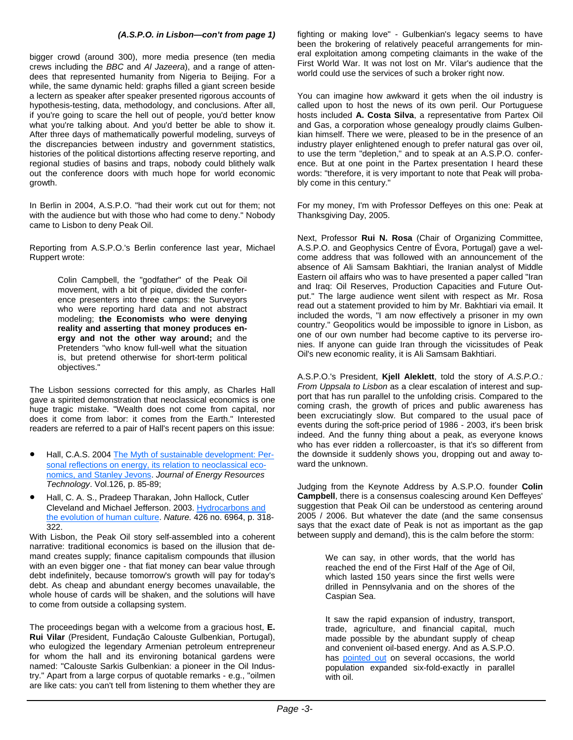### *(A.S.P.O. in Lisbon—con't from page 1)*

bigger crowd (around 300), more media presence (ten media crews including the *BBC* and *Al Jazeera*), and a range of attendees that represented humanity from Nigeria to Beijing. For a while, the same dynamic held: graphs filled a giant screen beside a lectern as speaker after speaker presented rigorous accounts of hypothesis-testing, data, methodology, and conclusions. After all, if you're going to scare the hell out of people, you'd better know what you're talking about. And you'd better be able to show it. After three days of mathematically powerful modeling, surveys of the discrepancies between industry and government statistics, histories of the political distortions affecting reserve reporting, and regional studies of basins and traps, nobody could blithely walk out the conference doors with much hope for world economic growth.

In Berlin in 2004, A.S.P.O. "had their work cut out for them; not with the audience but with those who had come to deny." Nobody came to Lisbon to deny Peak Oil.

Reporting from A.S.P.O.'s Berlin conference last year, Michael Ruppert wrote:

> Colin Campbell, the "godfather" of the Peak Oil movement, with a bit of pique, divided the conference presenters into three camps: the Surveyors who were reporting hard data and not abstract modeling; **the Economists who were denying reality and asserting that money produces energy and not the other way around;** and the Pretenders "who know full-well what the situation is, but pretend otherwise for short-term political objectives."

The Lisbon sessions corrected for this amply, as Charles Hall gave a spirited demonstration that neoclassical economics is one huge tragic mistake. "Wealth does not come from capital, nor does it come from labor: it comes from the Earth." Interested readers are referred to a pair of Hall's recent papers on this issue:

- Hall, C.A.S. 2004 The Myth of sustainable development: Personal reflections on energy, its relation to neoclassical economics, and Stanley Jevons. *Journal of Energy Resources Technology*. Vol.126, p. 85-89;
- Hall, C. A. S., Pradeep Tharakan, John Hallock, Cutler Cleveland and Michael Jefferson. 2003. Hydrocarbons and the evolution of human culture. *Nature.* 426 no. 6964, p. 318- 322.

With Lisbon, the Peak Oil story self-assembled into a coherent narrative: traditional economics is based on the illusion that demand creates supply; finance capitalism compounds that illusion with an even bigger one - that fiat money can bear value through debt indefinitely, because tomorrow's growth will pay for today's debt. As cheap and abundant energy becomes unavailable, the whole house of cards will be shaken, and the solutions will have to come from outside a collapsing system.

The proceedings began with a welcome from a gracious host, **E. Rui Vilar** (President, Fundação Calouste Gulbenkian, Portugal), who eulogized the legendary Armenian petroleum entrepreneur for whom the hall and its environing botanical gardens were named: "Calouste Sarkis Gulbenkian: a pioneer in the Oil Industry." Apart from a large corpus of quotable remarks - e.g., "oilmen are like cats: you can't tell from listening to them whether they are fighting or making love" - Gulbenkian's legacy seems to have been the brokering of relatively peaceful arrangements for mineral exploitation among competing claimants in the wake of the First World War. It was not lost on Mr. Vilar's audience that the world could use the services of such a broker right now.

You can imagine how awkward it gets when the oil industry is called upon to host the news of its own peril. Our Portuguese hosts included **A. Costa Silva**, a representative from Partex Oil and Gas, a corporation whose genealogy proudly claims Gulbenkian himself. There we were, pleased to be in the presence of an industry player enlightened enough to prefer natural gas over oil, to use the term "depletion," and to speak at an A.S.P.O. conference. But at one point in the Partex presentation I heard these words: "therefore, it is very important to note that Peak will probably come in this century."

For my money, I'm with Professor Deffeyes on this one: Peak at Thanksgiving Day, 2005.

Next, Professor **Rui N. Rosa** (Chair of Organizing Committee, A.S.P.O. and Geophysics Centre of Évora, Portugal) gave a welcome address that was followed with an announcement of the absence of Ali Samsam Bakhtiari, the Iranian analyst of Middle Eastern oil affairs who was to have presented a paper called "Iran and Iraq: Oil Reserves, Production Capacities and Future Output." The large audience went silent with respect as Mr. Rosa read out a statement provided to him by Mr. Bakhtiari via email. It included the words, "I am now effectively a prisoner in my own country." Geopolitics would be impossible to ignore in Lisbon, as one of our own number had become captive to its perverse ironies. If anyone can guide Iran through the vicissitudes of Peak Oil's new economic reality, it is Ali Samsam Bakhtiari.

A.S.P.O.'s President, **Kjell Aleklett**, told the story of *A.S.P.O.: From Uppsala to Lisbon* as a clear escalation of interest and support that has run parallel to the unfolding crisis. Compared to the coming crash, the growth of prices and public awareness has been excruciatingly slow. But compared to the usual pace of events during the soft-price period of 1986 - 2003, it's been brisk indeed. And the funny thing about a peak, as everyone knows who has ever ridden a rollercoaster, is that it's so different from the downside it suddenly shows you, dropping out and away toward the unknown.

Judging from the Keynote Address by A.S.P.O. founder **Colin Campbell**, there is a consensus coalescing around Ken Deffeyes' suggestion that Peak Oil can be understood as centering around 2005 / 2006. But whatever the date (and the same consensus says that the exact date of Peak is not as important as the gap between supply and demand), this is the calm before the storm:

> We can say, in other words, that the world has reached the end of the First Half of the Age of Oil, which lasted 150 years since the first wells were drilled in Pennsylvania and on the shores of the Caspian Sea.

> It saw the rapid expansion of industry, transport, trade, agriculture, and financial capital, much made possible by the abundant supply of cheap and convenient oil-based energy. And as A.S.P.O. has pointed out on several occasions, the world population expanded six-fold-exactly in parallel with oil.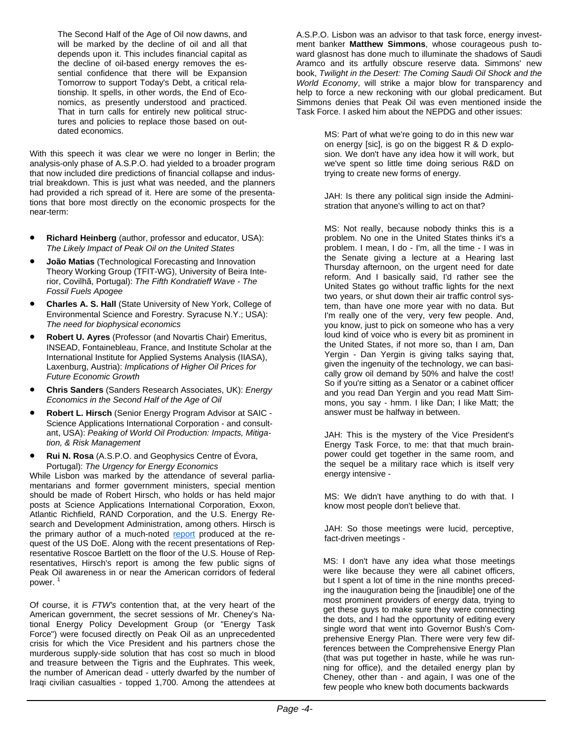The Second Half of the Age of Oil now dawns, and will be marked by the decline of oil and all that depends upon it. This includes financial capital as the decline of oil-based energy removes the essential confidence that there will be Expansion Tomorrow to support Today's Debt, a critical relationship. It spells, in other words, the End of Economics, as presently understood and practiced. That in turn calls for entirely new political structures and policies to replace those based on outdated economics.

With this speech it was clear we were no longer in Berlin; the analysis-only phase of A.S.P.O. had yielded to a broader program that now included dire predictions of financial collapse and industrial breakdown. This is just what was needed, and the planners had provided a rich spread of it. Here are some of the presentations that bore most directly on the economic prospects for the near-term:

- **Richard Heinberg** (author, professor and educator, USA): *The Likely Impact of Peak Oil on the United States*
- **João Matias** (Technological Forecasting and Innovation Theory Working Group (TFIT-WG), University of Beira Interior, Covilhã, Portugal): *The Fifth Kondratieff Wave - The Fossil Fuels Apogee*
- **Charles A. S. Hall** (State University of New York, College of Environmental Science and Forestry. Syracuse N.Y.; USA): *The need for biophysical economics*
- **Robert U. Ayres** (Professor (and Novartis Chair) Emeritus, INSEAD, Fontainebleau, France, and Institute Scholar at the International Institute for Applied Systems Analysis (IIASA), Laxenburg, Austria): *Implications of Higher Oil Prices for Future Economic Growth*
- **Chris Sanders** (Sanders Research Associates, UK): *Energy Economics in the Second Half of the Age of Oil*
- **Robert L. Hirsch** (Senior Energy Program Advisor at SAIC Science Applications International Corporation - and consultant, USA): *Peaking of World Oil Production: Impacts, Mitigation, & Risk Management*
- **Rui N. Rosa** (A.S.P.O. and Geophysics Centre of Évora, Portugal): *The Urgency for Energy Economics*

While Lisbon was marked by the attendance of several parliamentarians and former government ministers, special mention should be made of Robert Hirsch, who holds or has held major posts at Science Applications International Corporation, Exxon, Atlantic Richfield, RAND Corporation, and the U.S. Energy Research and Development Administration, among others. Hirsch is the primary author of a much-noted report produced at the request of the US DoE. Along with the recent presentations of Representative Roscoe Bartlett on the floor of the U.S. House of Representatives, Hirsch's report is among the few public signs of Peak Oil awareness in or near the American corridors of federal power.<sup>1</sup>

Of course, it is *FTW's* contention that, at the very heart of the American government, the secret sessions of Mr. Cheney's National Energy Policy Development Group (or "Energy Task Force") were focused directly on Peak Oil as an unprecedented crisis for which the Vice President and his partners chose the murderous supply-side solution that has cost so much in blood and treasure between the Tigris and the Euphrates. This week, the number of American dead - utterly dwarfed by the number of Iraqi civilian casualties - topped 1,700. Among the attendees at A.S.P.O. Lisbon was an advisor to that task force, energy investment banker **Matthew Simmons**, whose courageous push toward glasnost has done much to illuminate the shadows of Saudi Aramco and its artfully obscure reserve data. Simmons' new book, *Twilight in the Desert: The Coming Saudi Oil Shock and the World Economy*, will strike a major blow for transparency and help to force a new reckoning with our global predicament. But Simmons denies that Peak Oil was even mentioned inside the Task Force. I asked him about the NEPDG and other issues:

> MS: Part of what we're going to do in this new war on energy [sic], is go on the biggest R & D explosion. We don't have any idea how it will work, but we've spent so little time doing serious R&D on trying to create new forms of energy.

> JAH: Is there any political sign inside the Administration that anyone's willing to act on that?

MS: Not really, because nobody thinks this is a problem. No one in the United States thinks it's a problem. I mean, I do - I'm, all the time - I was in the Senate giving a lecture at a Hearing last Thursday afternoon, on the urgent need for date reform. And I basically said, I'd rather see the United States go without traffic lights for the next two years, or shut down their air traffic control system, than have one more year with no data. But I'm really one of the very, very few people. And, you know, just to pick on someone who has a very loud kind of voice who is every bit as prominent in the United States, if not more so, than I am, Dan Yergin - Dan Yergin is giving talks saying that, given the ingenuity of the technology, we can basically grow oil demand by 50% and halve the cost! So if you're sitting as a Senator or a cabinet officer and you read Dan Yergin and you read Matt Simmons, you say - hmm. I like Dan; I like Matt; the answer must be halfway in between.

JAH: This is the mystery of the Vice President's Energy Task Force, to me: that that much brainpower could get together in the same room, and the sequel be a military race which is itself very energy intensive -

MS: We didn't have anything to do with that. I know most people don't believe that.

JAH: So those meetings were lucid, perceptive, fact-driven meetings -

MS: I don't have any idea what those meetings were like because they were all cabinet officers, but I spent a lot of time in the nine months preceding the inauguration being the [inaudible] one of the most prominent providers of energy data, trying to get these guys to make sure they were connecting the dots, and I had the opportunity of editing every single word that went into Governor Bush's Comprehensive Energy Plan. There were very few differences between the Comprehensive Energy Plan (that was put together in haste, while he was running for office), and the detailed energy plan by Cheney, other than - and again, I was one of the few people who knew both documents backwards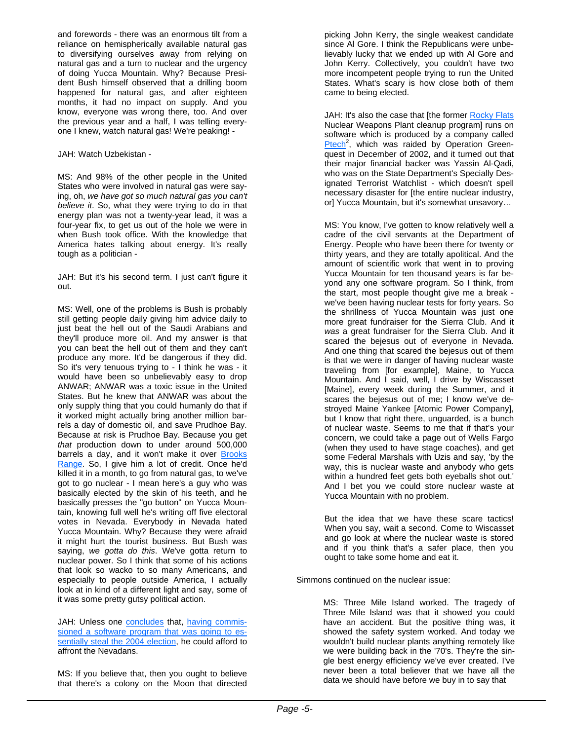and forewords - there was an enormous tilt from a reliance on hemispherically available natural gas to diversifying ourselves away from relying on natural gas and a turn to nuclear and the urgency of doing Yucca Mountain. Why? Because President Bush himself observed that a drilling boom happened for natural gas, and after eighteen months, it had no impact on supply. And you know, everyone was wrong there, too. And over the previous year and a half, I was telling everyone I knew, watch natural gas! We're peaking! -

JAH: Watch Uzbekistan -

MS: And 98% of the other people in the United States who were involved in natural gas were saying, oh, *we have got so much natural gas you can't believe it*. So, what they were trying to do in that energy plan was not a twenty-year lead, it was a four-year fix, to get us out of the hole we were in when Bush took office. With the knowledge that America hates talking about energy. It's really tough as a politician -

JAH: But it's his second term. I just can't figure it out.

MS: Well, one of the problems is Bush is probably still getting people daily giving him advice daily to just beat the hell out of the Saudi Arabians and they'll produce more oil. And my answer is that you can beat the hell out of them and they can't produce any more. It'd be dangerous if they did. So it's very tenuous trying to - I think he was - it would have been so unbelievably easy to drop ANWAR; ANWAR was a toxic issue in the United States. But he knew that ANWAR was about the only supply thing that you could humanly do that if it worked might actually bring another million barrels a day of domestic oil, and save Prudhoe Bay. Because at risk is Prudhoe Bay. Because you get *that* production down to under around 500,000 barrels a day, and it won't make it over Brooks Range. So, I give him a lot of credit. Once he'd killed it in a month, to go from natural gas, to we've got to go nuclear - I mean here's a guy who was basically elected by the skin of his teeth, and he basically presses the "go button" on Yucca Mountain, knowing full well he's writing off five electoral votes in Nevada. Everybody in Nevada hated Yucca Mountain. Why? Because they were afraid it might hurt the tourist business. But Bush was saying, *we gotta do this*. We've gotta return to nuclear power. So I think that some of his actions that look so wacko to so many Americans, and especially to people outside America, I actually look at in kind of a different light and say, some of it was some pretty gutsy political action.

JAH: Unless one concludes that, having commissioned a software program that was going to essentially steal the 2004 election, he could afford to affront the Nevadans.

MS: If you believe that, then you ought to believe that there's a colony on the Moon that directed picking John Kerry, the single weakest candidate since Al Gore. I think the Republicans were unbelievably lucky that we ended up with Al Gore and John Kerry. Collectively, you couldn't have two more incompetent people trying to run the United States. What's scary is how close both of them came to being elected.

JAH: It's also the case that [the former Rocky Flats] Nuclear Weapons Plant cleanup program] runs on software which is produced by a company called Ptech<sup>2</sup>, which was raided by Operation Greenquest in December of 2002, and it turned out that their major financial backer was Yassin Al-Qadi, who was on the State Department's Specially Designated Terrorist Watchlist - which doesn't spell necessary disaster for [the entire nuclear industry, or] Yucca Mountain, but it's somewhat unsavory…

MS: You know, I've gotten to know relatively well a cadre of the civil servants at the Department of Energy. People who have been there for twenty or thirty years, and they are totally apolitical. And the amount of scientific work that went in to proving Yucca Mountain for ten thousand years is far beyond any one software program. So I think, from the start, most people thought give me a break we've been having nuclear tests for forty years. So the shrillness of Yucca Mountain was just one more great fundraiser for the Sierra Club. And it *was* a great fundraiser for the Sierra Club. And it scared the bejesus out of everyone in Nevada. And one thing that scared the bejesus out of them is that we were in danger of having nuclear waste traveling from [for example], Maine, to Yucca Mountain. And I said, well, I drive by Wiscasset [Maine], every week during the Summer, and it scares the bejesus out of me; I know we've destroyed Maine Yankee [Atomic Power Company], but I know that right there, unguarded, is a bunch of nuclear waste. Seems to me that if that's your concern, we could take a page out of Wells Fargo (when they used to have stage coaches), and get some Federal Marshals with Uzis and say, 'by the way, this is nuclear waste and anybody who gets within a hundred feet gets both eyeballs shot out.' And I bet you we could store nuclear waste at Yucca Mountain with no problem.

But the idea that we have these scare tactics! When you say, wait a second. Come to Wiscasset and go look at where the nuclear waste is stored and if you think that's a safer place, then you ought to take some home and eat it.

Simmons continued on the nuclear issue:

MS: Three Mile Island worked. The tragedy of Three Mile Island was that it showed you could have an accident. But the positive thing was, it showed the safety system worked. And today we wouldn't build nuclear plants anything remotely like we were building back in the '70's. They're the single best energy efficiency we've ever created. I've never been a total believer that we have all the data we should have before we buy in to say that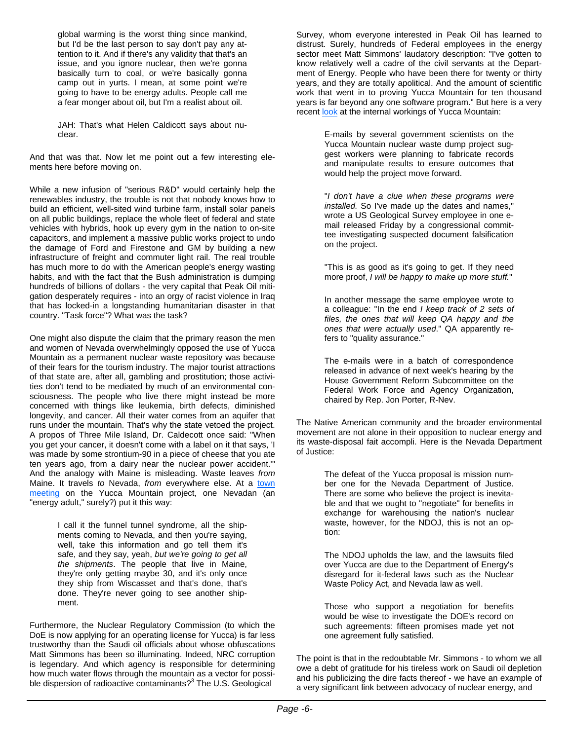global warming is the worst thing since mankind, but I'd be the last person to say don't pay any attention to it. And if there's any validity that that's an issue, and you ignore nuclear, then we're gonna basically turn to coal, or we're basically gonna camp out in yurts. I mean, at some point we're going to have to be energy adults. People call me a fear monger about oil, but I'm a realist about oil.

JAH: That's what Helen Caldicott says about nuclear.

And that was that. Now let me point out a few interesting elements here before moving on.

While a new infusion of "serious R&D" would certainly help the renewables industry, the trouble is not that nobody knows how to build an efficient, well-sited wind turbine farm, install solar panels on all public buildings, replace the whole fleet of federal and state vehicles with hybrids, hook up every gym in the nation to on-site capacitors, and implement a massive public works project to undo the damage of Ford and Firestone and GM by building a new infrastructure of freight and commuter light rail. The real trouble has much more to do with the American people's energy wasting habits, and with the fact that the Bush administration is dumping hundreds of billions of dollars - the very capital that Peak Oil mitigation desperately requires - into an orgy of racist violence in Iraq that has locked-in a longstanding humanitarian disaster in that country. "Task force"? What was the task?

One might also dispute the claim that the primary reason the men and women of Nevada overwhelmingly opposed the use of Yucca Mountain as a permanent nuclear waste repository was because of their fears for the tourism industry. The major tourist attractions of that state are, after all, gambling and prostitution; those activities don't tend to be mediated by much of an environmental consciousness. The people who live there might instead be more concerned with things like leukemia, birth defects, diminished longevity, and cancer. All their water comes from an aquifer that runs under the mountain. That's why the state vetoed the project. A propos of Three Mile Island, Dr. Caldecott once said: "When you get your cancer, it doesn't come with a label on it that says, 'I was made by some strontium-90 in a piece of cheese that you ate ten years ago, from a dairy near the nuclear power accident.'" And the analogy with Maine is misleading. Waste leaves *from* Maine. It travels *to* Nevada, *from* everywhere else. At a town meeting on the Yucca Mountain project, one Nevadan (an "energy adult," surely?) put it this way:

> I call it the funnel tunnel syndrome, all the shipments coming to Nevada, and then you're saying, well, take this information and go tell them it's safe, and they say, yeah, *but we're going to get all the shipments*. The people that live in Maine, they're only getting maybe 30, and it's only once they ship from Wiscasset and that's done, that's done. They're never going to see another shipment.

Furthermore, the Nuclear Regulatory Commission (to which the DoE is now applying for an operating license for Yucca) is far less trustworthy than the Saudi oil officials about whose obfuscations Matt Simmons has been so illuminating. Indeed, NRC corruption is legendary. And which agency is responsible for determining how much water flows through the mountain as a vector for possible dispersion of radioactive contaminants?<sup>3</sup> The U.S. Geological

Survey, whom everyone interested in Peak Oil has learned to distrust. Surely, hundreds of Federal employees in the energy sector meet Matt Simmons' laudatory description: "I've gotten to know relatively well a cadre of the civil servants at the Department of Energy. People who have been there for twenty or thirty years, and they are totally apolitical. And the amount of scientific work that went in to proving Yucca Mountain for ten thousand years is far beyond any one software program." But here is a very recent look at the internal workings of Yucca Mountain:

> E-mails by several government scientists on the Yucca Mountain nuclear waste dump project suggest workers were planning to fabricate records and manipulate results to ensure outcomes that would help the project move forward.

> "*I don't have a clue when these programs were installed.* So I've made up the dates and names," wrote a US Geological Survey employee in one email released Friday by a congressional committee investigating suspected document falsification on the project.

> "This is as good as it's going to get. If they need more proof, *I will be happy to make up more stuff.*"

> In another message the same employee wrote to a colleague: "In the end *I keep track of 2 sets of files, the ones that will keep QA happy and the ones that were actually used*." QA apparently refers to "quality assurance."

> The e-mails were in a batch of correspondence released in advance of next week's hearing by the House Government Reform Subcommittee on the Federal Work Force and Agency Organization, chaired by Rep. Jon Porter, R-Nev.

The Native American community and the broader environmental movement are not alone in their opposition to nuclear energy and its waste-disposal fait accompli. Here is the Nevada Department of Justice:

> The defeat of the Yucca proposal is mission number one for the Nevada Department of Justice. There are some who believe the project is inevitable and that we ought to "negotiate" for benefits in exchange for warehousing the nation's nuclear waste, however, for the NDOJ, this is not an option:

> The NDOJ upholds the law, and the lawsuits filed over Yucca are due to the Department of Energy's disregard for it-federal laws such as the Nuclear Waste Policy Act, and Nevada law as well.

> Those who support a negotiation for benefits would be wise to investigate the DOE's record on such agreements: fifteen promises made yet not one agreement fully satisfied.

The point is that in the redoubtable Mr. Simmons - to whom we all owe a debt of gratitude for his tireless work on Saudi oil depletion and his publicizing the dire facts thereof - we have an example of a very significant link between advocacy of nuclear energy, and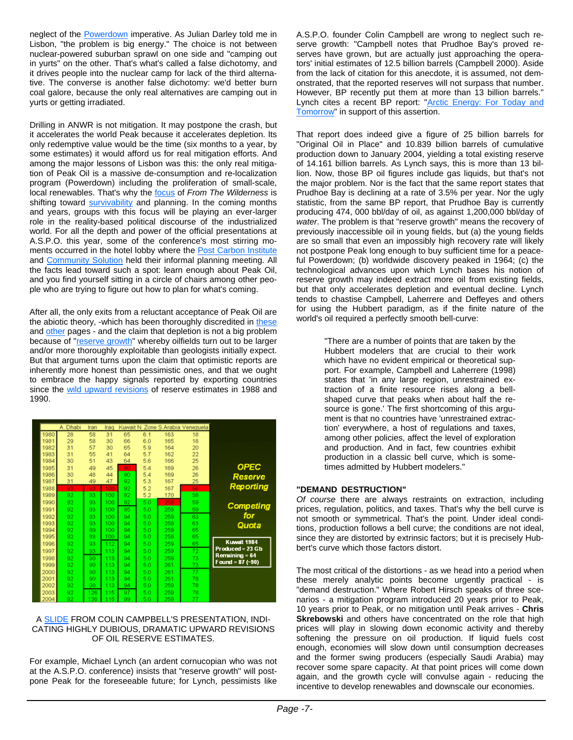neglect of the Powerdown imperative. As Julian Darley told me in Lisbon, "the problem is big energy." The choice is not between nuclear-powered suburban sprawl on one side and "camping out in yurts" on the other. That's what's called a false dichotomy, and it drives people into the nuclear camp for lack of the third alternative. The converse is another false dichotomy: we'd better burn coal galore, because the only real alternatives are camping out in yurts or getting irradiated.

Drilling in ANWR is not mitigation. It may postpone the crash, but it accelerates the world Peak because it accelerates depletion. Its only redemptive value would be the time (six months to a year, by some estimates) it would afford us for real mitigation efforts. And among the major lessons of Lisbon was this: the only real mitigation of Peak Oil is a massive de-consumption and re-localization program (Powerdown) including the proliferation of small-scale, local renewables. That's why the focus of *From The Wilderness* is shifting toward survivability and planning. In the coming months and years, groups with this focus will be playing an ever-larger role in the reality-based political discourse of the industrialized world. For all the depth and power of the official presentations at A.S.P.O. this year, some of the conference's most stirring moments occurred in the hotel lobby where the Post Carbon Institute and Community Solution held their informal planning meeting. All the facts lead toward such a spot: learn enough about Peak Oil, and you find yourself sitting in a circle of chairs among other people who are trying to figure out how to plan for what's coming.

After all, the only exits from a reluctant acceptance of Peak Oil are the abiotic theory, -which has been thoroughly discredited in these and other pages - and the claim that depletion is not a big problem because of "reserve growth" whereby oilfields turn out to be larger and/or more thoroughly exploitable than geologists initially expect. But that argument turns upon the claim that optimistic reports are inherently more honest than pessimistic ones, and that we ought to embrace the happy signals reported by exporting countries since the wild upward revisions of reserve estimates in 1988 and 1990.



A SLIDE FROM COLIN CAMPBELL'S PRESENTATION, INDI-CATING HIGHLY DUBIOUS, DRAMATIC UPWARD REVISIONS OF OIL RESERVE ESTIMATES.

For example, Michael Lynch (an ardent cornucopian who was not at the A.S.P.O. conference) insists that "reserve growth" will postpone Peak for the foreseeable future; for Lynch, pessimists like A.S.P.O. founder Colin Campbell are wrong to neglect such reserve growth: "Campbell notes that Prudhoe Bay's proved reserves have grown, but are actually just approaching the operators' initial estimates of 12.5 billion barrels (Campbell 2000). Aside from the lack of citation for this anecdote, it is assumed, not demonstrated, that the reported reserves will not surpass that number. However, BP recently put them at more than 13 billion barrels." Lynch cites a recent BP report: "Arctic Energy: For Today and Tomorrow" in support of this assertion.

That report does indeed give a figure of 25 billion barrels for "Original Oil in Place" and 10.839 billion barrels of cumulative production down to January 2004, yielding a total existing reserve of 14.161 billion barrels. As Lynch says, this is more than 13 billion. Now, those BP oil figures include gas liquids, but that's not the major problem. Nor is the fact that the same report states that Prudhoe Bay is declining at a rate of 3.5% per year. Nor the ugly statistic, from the same BP report, that Prudhoe Bay is currently producing 474, 000 bbl/day of oil, as against 1,200,000 bbl/day of *water*. The problem is that "reserve growth" means the recovery of previously inaccessible oil in young fields, but (a) the young fields are so small that even an impossibly high recovery rate will likely not postpone Peak long enough to buy sufficient time for a peaceful Powerdown; (b) worldwide discovery peaked in 1964; (c) the technological advances upon which Lynch bases his notion of reserve growth may indeed extract more oil from existing fields, but that only accelerates depletion and eventual decline. Lynch tends to chastise Campbell, Laherrere and Deffeyes and others for using the Hubbert paradigm, as if the finite nature of the world's oil required a perfectly smooth bell-curve:

> "There are a number of points that are taken by the Hubbert modelers that are crucial to their work which have no evident empirical or theoretical support. For example, Campbell and Laherrere (1998) states that 'in any large region, unrestrained extraction of a finite resource rises along a bellshaped curve that peaks when about half the resource is gone.' The first shortcoming of this argument is that no countries have 'unrestrained extraction' everywhere, a host of regulations and taxes, among other policies, affect the level of exploration and production. And in fact, few countries exhibit production in a classic bell curve, which is sometimes admitted by Hubbert modelers."

### **"DEMAND DESTRUCTION"**

*Of course* there are always restraints on extraction, including prices, regulation, politics, and taxes. That's why the bell curve is not smooth or symmetrical. That's the point. Under ideal conditions, production follows a bell curve; the conditions are not ideal, since they are distorted by extrinsic factors; but it is precisely Hubbert's curve which those factors distort.

The most critical of the distortions - as we head into a period when these merely analytic points become urgently practical - is "demand destruction." Where Robert Hirsch speaks of three scenarios - a mitigation program introduced 20 years prior to Peak, 10 years prior to Peak, or no mitigation until Peak arrives - **Chris Skrebowski** and others have concentrated on the role that high prices will play in slowing down economic activity and thereby softening the pressure on oil production. If liquid fuels cost enough, economies will slow down until consumption decreases and the former swing producers (especially Saudi Arabia) may recover some spare capacity. At that point prices will come down again, and the growth cycle will convulse again - reducing the incentive to develop renewables and downscale our economies.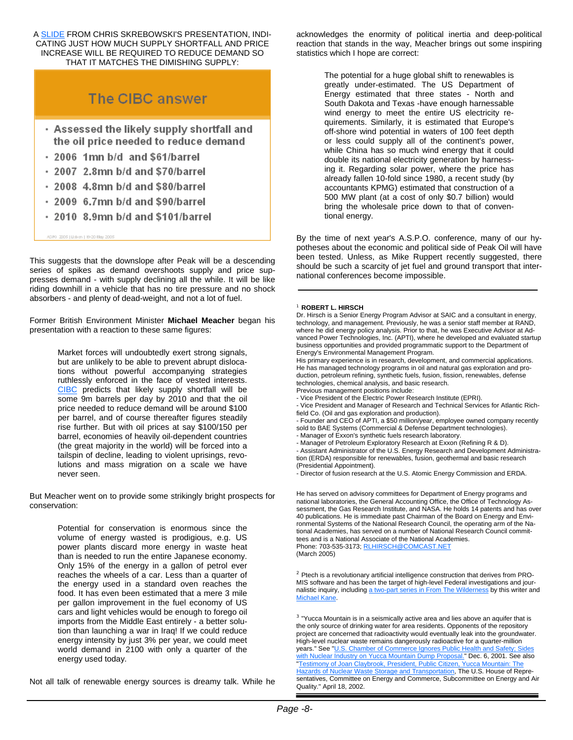A SLIDE FROM CHRIS SKREBOWSKI'S PRESENTATION, INDI-CATING JUST HOW MUCH SUPPLY SHORTFALL AND PRICE INCREASE WILL BE REQUIRED TO REDUCE DEMAND SO THAT IT MATCHES THE DIMISHING SUPPLY:

# **The CIBC answer**

- . Assessed the likely supply shortfall and the oil price needed to reduce demand
- ⋅ 2006 1mn b/d and \$61/barrel
- $\cdot$  2007 2.8mn b/d and \$70/barrel
- $\cdot$  2008 4.8mn b/d and \$80/barrel
- $\cdot$  2009 6.7mn b/d and \$90/barrel
- $\cdot$  2010 8.9mn b/d and \$101/barrel

2005 (Lisbian | 19-20 May 2006

This suggests that the downslope after Peak will be a descending series of spikes as demand overshoots supply and price suppresses demand - with supply declining all the while. It will be like riding downhill in a vehicle that has no tire pressure and no shock absorbers - and plenty of dead-weight, and not a lot of fuel.

Former British Environment Minister **Michael Meacher** began his presentation with a reaction to these same figures:

> Market forces will undoubtedly exert strong signals, but are unlikely to be able to prevent abrupt dislocations without powerful accompanying strategies ruthlessly enforced in the face of vested interests. CIBC predicts that likely supply shortfall will be some 9m barrels per day by 2010 and that the oil price needed to reduce demand will be around \$100 per barrel, and of course thereafter figures steadily rise further. But with oil prices at say \$100/150 per barrel, economies of heavily oil-dependent countries (the great majority in the world) will be forced into a tailspin of decline, leading to violent uprisings, revolutions and mass migration on a scale we have never seen.

But Meacher went on to provide some strikingly bright prospects for conservation:

> Potential for conservation is enormous since the volume of energy wasted is prodigious, e.g. US power plants discard more energy in waste heat than is needed to run the entire Japanese economy. Only 15% of the energy in a gallon of petrol ever reaches the wheels of a car. Less than a quarter of the energy used in a standard oven reaches the food. It has even been estimated that a mere 3 mile per gallon improvement in the fuel economy of US cars and light vehicles would be enough to forego oil imports from the Middle East entirely - a better solution than launching a war in Iraq! If we could reduce energy intensity by just 3% per year, we could meet world demand in 2100 with only a quarter of the energy used today.

Not all talk of renewable energy sources is dreamy talk. While he

acknowledges the enormity of political inertia and deep-political reaction that stands in the way, Meacher brings out some inspiring statistics which I hope are correct:

> The potential for a huge global shift to renewables is greatly under-estimated. The US Department of Energy estimated that three states - North and South Dakota and Texas -have enough harnessable wind energy to meet the entire US electricity requirements. Similarly, it is estimated that Europe's off-shore wind potential in waters of 100 feet depth or less could supply all of the continent's power, while China has so much wind energy that it could double its national electricity generation by harnessing it. Regarding solar power, where the price has already fallen 10-fold since 1980, a recent study (by accountants KPMG) estimated that construction of a 500 MW plant (at a cost of only \$0.7 billion) would bring the wholesale price down to that of conventional energy.

By the time of next year's A.S.P.O. conference, many of our hypotheses about the economic and political side of Peak Oil will have been tested. Unless, as Mike Ruppert recently suggested, there should be such a scarcity of jet fuel and ground transport that international conferences become impossible.

#### <sup>1</sup> **ROBERT L. HIRSCH**

Dr. Hirsch is a Senior Energy Program Advisor at SAIC and a consultant in energy, technology, and management. Previously, he was a senior staff member at RAND, where he did energy policy analysis. Prior to that, he was Executive Advisor at Advanced Power Technologies, Inc. (APTI), where he developed and evaluated startup business opportunities and provided programmatic support to the Department of Energy's Environmental Management Program.

His primary experience is in research, development, and commercial applications. He has managed technology programs in oil and natural gas exploration and production, petroleum refining, synthetic fuels, fusion, fission, renewables, defense technologies, chemical analysis, and basic research. Previous management positions include:

- Vice President of the Electric Power Research Institute (EPRI).
- Vice President and Manager of Research and Technical Services for Atlantic Richfield Co. (Oil and gas exploration and production).
- Founder and CEO of APTI, a \$50 million/year, employee owned company recently sold to BAE Systems (Commercial & Defense Department technologies).
- Manager of Exxon's synthetic fuels research laboratory.
- Manager of Petroleum Exploratory Research at Exxon (Refining R & D).

- Assistant Administrator of the U.S. Energy Research and Development Administration (ERDA) responsible for renewables, fusion, geothermal and basic research (Presidential Appointment).

- Director of fusion research at the U.S. Atomic Energy Commission and ERDA.

He has served on advisory committees for Department of Energy programs and national laboratories, the General Accounting Office, the Office of Technology Assessment, the Gas Research Institute, and NASA. He holds 14 patents and has over 40 publications. He is immediate past Chairman of the Board on Energy and Environmental Systems of the National Research Council, the operating arm of the National Academies, has served on a number of National Research Council committees and is a National Associate of the National Academies. Phone: 703-535-3173; RLHIRSCH@COMCAST.NET (March 2005)

<sup>2</sup> Ptech is a revolutionary artificial intelligence construction that derives from PRO-MIS software and has been the target of high-level Federal investigations and journalistic inquiry, including a two-part series in From The Wilderness by this writer and Michael Kane.

 $3$  "Yucca Mountain is in a seismically active area and lies above an aquifer that is the only source of drinking water for area residents. Opponents of the repository project are concerned that radioactivity would eventually leak into the groundwater. High-level nuclear waste remains dangerously radioactive for a quarter-million years." See "U.S. Chamber of Commerce Ignores Public Health and Safety; Side with Nuclear Industry on Yucca Mountain Dump Proposal." Dec. 6, 2001. See also "Testimony of Joan Claybrook, President, Public Citizen, Yucca Mountain: The Hazards of Nuclear Waste Storage and Transportation, The U.S. House of Representatives, Committee on Energy and Commerce, Subcommittee on Energy and Air Quality." April 18, 2002.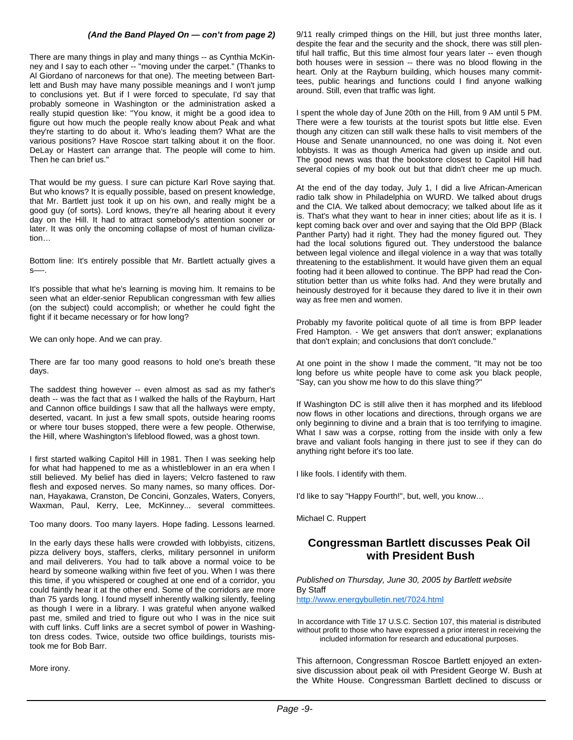### *(And the Band Played On — con't from page 2)*

There are many things in play and many things -- as Cynthia McKinney and I say to each other -- "moving under the carpet." (Thanks to Al Giordano of narconews for that one). The meeting between Bartlett and Bush may have many possible meanings and I won't jump to conclusions yet. But if I were forced to speculate, I'd say that probably someone in Washington or the administration asked a really stupid question like: "You know, it might be a good idea to figure out how much the people really know about Peak and what they're starting to do about it. Who's leading them? What are the various positions? Have Roscoe start talking about it on the floor. DeLay or Hastert can arrange that. The people will come to him. Then he can brief us."

That would be my guess. I sure can picture Karl Rove saying that. But who knows? It is equally possible, based on present knowledge, that Mr. Bartlett just took it up on his own, and really might be a good guy (of sorts). Lord knows, they're all hearing about it every day on the Hill. It had to attract somebody's attention sooner or later. It was only the oncoming collapse of most of human civilization…

Bottom line: It's entirely possible that Mr. Bartlett actually gives a s—-.

It's possible that what he's learning is moving him. It remains to be seen what an elder-senior Republican congressman with few allies (on the subject) could accomplish; or whether he could fight the fight if it became necessary or for how long?

We can only hope. And we can pray.

There are far too many good reasons to hold one's breath these days.

The saddest thing however -- even almost as sad as my father's death -- was the fact that as I walked the halls of the Rayburn, Hart and Cannon office buildings I saw that all the hallways were empty, deserted, vacant. In just a few small spots, outside hearing rooms or where tour buses stopped, there were a few people. Otherwise, the Hill, where Washington's lifeblood flowed, was a ghost town.

I first started walking Capitol Hill in 1981. Then I was seeking help for what had happened to me as a whistleblower in an era when I still believed. My belief has died in layers; Velcro fastened to raw flesh and exposed nerves. So many names, so many offices. Dornan, Hayakawa, Cranston, De Concini, Gonzales, Waters, Conyers, Waxman, Paul, Kerry, Lee, McKinney... several committees.

Too many doors. Too many layers. Hope fading. Lessons learned.

In the early days these halls were crowded with lobbyists, citizens, pizza delivery boys, staffers, clerks, military personnel in uniform and mail deliverers. You had to talk above a normal voice to be heard by someone walking within five feet of you. When I was there this time, if you whispered or coughed at one end of a corridor, you could faintly hear it at the other end. Some of the corridors are more than 75 yards long. I found myself inherently walking silently, feeling as though I were in a library. I was grateful when anyone walked past me, smiled and tried to figure out who I was in the nice suit with cuff links. Cuff links are a secret symbol of power in Washington dress codes. Twice, outside two office buildings, tourists mistook me for Bob Barr.

More irony.

9/11 really crimped things on the Hill, but just three months later, despite the fear and the security and the shock, there was still plentiful hall traffic, But this time almost four years later -- even though both houses were in session -- there was no blood flowing in the heart. Only at the Rayburn building, which houses many committees, public hearings and functions could I find anyone walking around. Still, even that traffic was light.

I spent the whole day of June 20th on the Hill, from 9 AM until 5 PM. There were a few tourists at the tourist spots but little else. Even though any citizen can still walk these halls to visit members of the House and Senate unannounced, no one was doing it. Not even lobbyists. It was as though America had given up inside and out. The good news was that the bookstore closest to Capitol Hill had several copies of my book out but that didn't cheer me up much.

At the end of the day today, July 1, I did a live African-American radio talk show in Philadelphia on WURD. We talked about drugs and the CIA. We talked about democracy; we talked about life as it is. That's what they want to hear in inner cities; about life as it is. I kept coming back over and over and saying that the Old BPP (Black Panther Party) had it right. They had the money figured out. They had the local solutions figured out. They understood the balance between legal violence and illegal violence in a way that was totally threatening to the establishment. It would have given them an equal footing had it been allowed to continue. The BPP had read the Constitution better than us white folks had. And they were brutally and heinously destroyed for it because they dared to live it in their own way as free men and women.

Probably my favorite political quote of all time is from BPP leader Fred Hampton. - We get answers that don't answer; explanations that don't explain; and conclusions that don't conclude."

At one point in the show I made the comment, "It may not be too long before us white people have to come ask you black people, "Say, can you show me how to do this slave thing?"

If Washington DC is still alive then it has morphed and its lifeblood now flows in other locations and directions, through organs we are only beginning to divine and a brain that is too terrifying to imagine. What I saw was a corpse, rotting from the inside with only a few brave and valiant fools hanging in there just to see if they can do anything right before it's too late.

I like fools. I identify with them.

I'd like to say "Happy Fourth!", but, well, you know…

Michael C. Ruppert

### **Congressman Bartlett discusses Peak Oil with President Bush**

*Published on Thursday, June 30, 2005 by Bartlett website* By Staff http://www.energybulletin.net/7024.html

In accordance with Title 17 U.S.C. Section 107, this material is distributed without profit to those who have expressed a prior interest in receiving the included information for research and educational purposes.

This afternoon, Congressman Roscoe Bartlett enjoyed an extensive discussion about peak oil with President George W. Bush at the White House. Congressman Bartlett declined to discuss or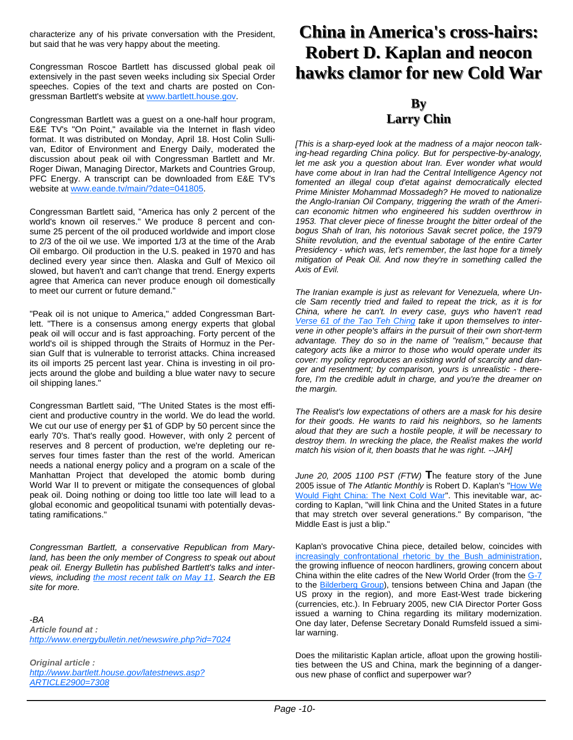characterize any of his private conversation with the President, but said that he was very happy about the meeting.

Congressman Roscoe Bartlett has discussed global peak oil extensively in the past seven weeks including six Special Order speeches. Copies of the text and charts are posted on Congressman Bartlett's website at www.bartlett.house.gov.

Congressman Bartlett was a guest on a one-half hour program, E&E TV's "On Point," available via the Internet in flash video format. It was distributed on Monday, April 18. Host Colin Sullivan, Editor of Environment and Energy Daily, moderated the discussion about peak oil with Congressman Bartlett and Mr. Roger Diwan, Managing Director, Markets and Countries Group, PFC Energy. A transcript can be downloaded from E&E TV's website at www.eande.tv/main/?date=041805.

Congressman Bartlett said, "America has only 2 percent of the world's known oil reserves." We produce 8 percent and consume 25 percent of the oil produced worldwide and import close to 2/3 of the oil we use. We imported 1/3 at the time of the Arab Oil embargo. Oil production in the U.S. peaked in 1970 and has declined every year since then. Alaska and Gulf of Mexico oil slowed, but haven't and can't change that trend. Energy experts agree that America can never produce enough oil domestically to meet our current or future demand."

"Peak oil is not unique to America," added Congressman Bartlett. "There is a consensus among energy experts that global peak oil will occur and is fast approaching. Forty percent of the world's oil is shipped through the Straits of Hormuz in the Persian Gulf that is vulnerable to terrorist attacks. China increased its oil imports 25 percent last year. China is investing in oil projects around the globe and building a blue water navy to secure oil shipping lanes."

Congressman Bartlett said, "The United States is the most efficient and productive country in the world. We do lead the world. We cut our use of energy per \$1 of GDP by 50 percent since the early 70's. That's really good. However, with only 2 percent of reserves and 8 percent of production, we're depleting our reserves four times faster than the rest of the world. American needs a national energy policy and a program on a scale of the Manhattan Project that developed the atomic bomb during World War II to prevent or mitigate the consequences of global peak oil. Doing nothing or doing too little too late will lead to a global economic and geopolitical tsunami with potentially devastating ramifications."

*Congressman Bartlett, a conservative Republican from Maryland, has been the only member of Congress to speak out about peak oil. Energy Bulletin has published Bartlett's talks and interviews, including the most recent talk on May 11. Search the EB site for more.* 

*-BA Article found at : http://www.energybulletin.net/newswire.php?id=7024*

*Original article : http://www.bartlett.house.gov/latestnews.asp? ARTICLE2900=7308*

# **China in America's cross China in America's cross-hairs: Robert D. Kaplan and neocon Robert D. Kaplan and neocon hawks clamor for new Cold War hawks clamor for new Cold War**

### **By**

## **Larry Chin Larry Chin**

*[This is a sharp-eyed look at the madness of a major neocon talking-head regarding China policy. But for perspective-by-analogy, let me ask you a question about Iran. Ever wonder what would have come about in Iran had the Central Intelligence Agency not fomented an illegal coup d'etat against democratically elected Prime Minister Mohammad Mossadegh? He moved to nationalize the Anglo-Iranian Oil Company, triggering the wrath of the American economic hitmen who engineered his sudden overthrow in 1953. That clever piece of finesse brought the bitter ordeal of the bogus Shah of Iran, his notorious Savak secret police, the 1979 Shiite revolution, and the eventual sabotage of the entire Carter Presidency - which was, let's remember, the last hope for a timely mitigation of Peak Oil. And now they're in something called the Axis of Evil.*

*The Iranian example is just as relevant for Venezuela, where Uncle Sam recently tried and failed to repeat the trick, as it is for China, where he can't. In every case, guys who haven't read Verse 61 of the Tao Teh Ching take it upon themselves to intervene in other people's affairs in the pursuit of their own short-term advantage. They do so in the name of "realism," because that category acts like a mirror to those who would operate under its cover: my policy reproduces an existing world of scarcity and danger and resentment; by comparison, yours is unrealistic - therefore, I'm the credible adult in charge, and you're the dreamer on the margin.*

*The Realist's low expectations of others are a mask for his desire for their goods. He wants to raid his neighbors, so he laments aloud that they are such a hostile people, it will be necessary to destroy them. In wrecking the place, the Realist makes the world match his vision of it, then boasts that he was right. --JAH]*

*June 20, 2005 1100 PST (FTW)* **T**he feature story of the June 2005 issue of *The Atlantic Monthly* is Robert D. Kaplan's "How We Would Fight China: The Next Cold War". This inevitable war, according to Kaplan, "will link China and the United States in a future that may stretch over several generations." By comparison, "the Middle East is just a blip."

Kaplan's provocative China piece, detailed below, coincides with increasingly confrontational rhetoric by the Bush administration, the growing influence of neocon hardliners, growing concern about China within the elite cadres of the New World Order (from the G-7 to the Bilderberg Group), tensions between China and Japan (the US proxy in the region), and more East-West trade bickering (currencies, etc.). In February 2005, new CIA Director Porter Goss issued a warning to China regarding its military modernization. One day later, Defense Secretary Donald Rumsfeld issued a similar warning.

Does the militaristic Kaplan article, afloat upon the growing hostilities between the US and China, mark the beginning of a dangerous new phase of conflict and superpower war?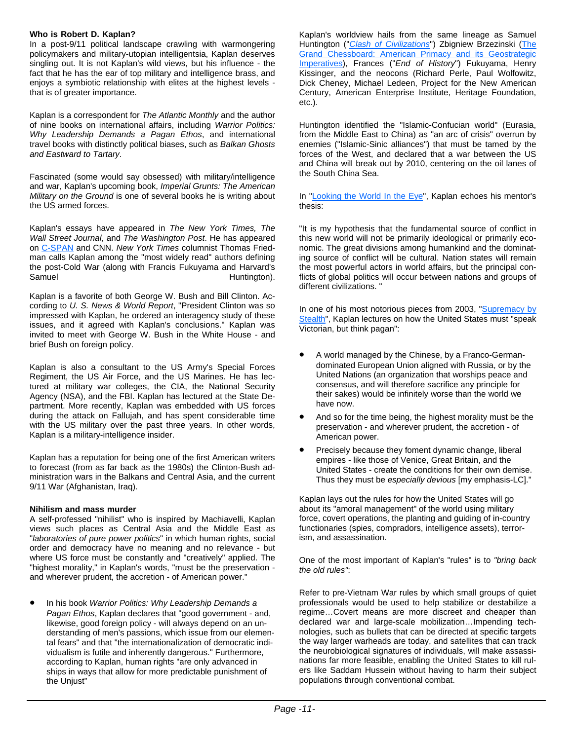### **Who is Robert D. Kaplan?**

In a post-9/11 political landscape crawling with warmongering policymakers and military-utopian intelligentsia, Kaplan deserves singling out. It is not Kaplan's wild views, but his influence - the fact that he has the ear of top military and intelligence brass, and enjoys a symbiotic relationship with elites at the highest levels that is of greater importance.

Kaplan is a correspondent for *The Atlantic Monthly* and the author of nine books on international affairs, including *Warrior Politics: Why Leadership Demands a Pagan Ethos*, and international travel books with distinctly political biases, such as *Balkan Ghosts and Eastward to Tartary*.

Fascinated (some would say obsessed) with military/intelligence and war, Kaplan's upcoming book, *Imperial Grunts: The American Military on the Ground* is one of several books he is writing about the US armed forces.

Kaplan's essays have appeared in *The New York Times, The Wall Street Journal*, and *The Washington Post*. He has appeared on C-SPAN and CNN. *New York Times* columnist Thomas Friedman calls Kaplan among the "most widely read" authors defining the post-Cold War (along with Francis Fukuyama and Harvard's Samuel **Huntington**).

Kaplan is a favorite of both George W. Bush and Bill Clinton. According to *U. S. News & World Report*, "President Clinton was so impressed with Kaplan, he ordered an interagency study of these issues, and it agreed with Kaplan's conclusions." Kaplan was invited to meet with George W. Bush in the White House - and brief Bush on foreign policy.

Kaplan is also a consultant to the US Army's Special Forces Regiment, the US Air Force, and the US Marines. He has lectured at military war colleges, the CIA, the National Security Agency (NSA), and the FBI. Kaplan has lectured at the State Department. More recently, Kaplan was embedded with US forces during the attack on Fallujah, and has spent considerable time with the US military over the past three years. In other words, Kaplan is a military-intelligence insider.

Kaplan has a reputation for being one of the first American writers to forecast (from as far back as the 1980s) the Clinton-Bush administration wars in the Balkans and Central Asia, and the current 9/11 War (Afghanistan, Iraq).

### **Nihilism and mass murder**

A self-professed "nihilist" who is inspired by Machiavelli, Kaplan views such places as Central Asia and the Middle East as "*laboratories of pure power politics*" in which human rights, social order and democracy have no meaning and no relevance - but where US force must be constantly and "creatively" applied. The "highest morality," in Kaplan's words, "must be the preservation and wherever prudent, the accretion - of American power."

• In his book *Warrior Politics: Why Leadership Demands a Pagan Ethos*, Kaplan declares that "good government - and, likewise, good foreign policy - will always depend on an understanding of men's passions, which issue from our elemental fears" and that "the internationalization of democratic individualism is futile and inherently dangerous." Furthermore, according to Kaplan, human rights "are only advanced in ships in ways that allow for more predictable punishment of the Unjust"

Kaplan's worldview hails from the same lineage as Samuel Huntington ("*Clash of Civilizations*") Zbigniew Brzezinski (The Grand Chessboard: American Primacy and its Geostrategic Imperatives), Frances ("*End of History*") Fukuyama, Henry Kissinger, and the neocons (Richard Perle, Paul Wolfowitz, Dick Cheney, Michael Ledeen, Project for the New American Century, American Enterprise Institute, Heritage Foundation, etc.).

Huntington identified the "Islamic-Confucian world" (Eurasia, from the Middle East to China) as "an arc of crisis" overrun by enemies ("Islamic-Sinic alliances") that must be tamed by the forces of the West, and declared that a war between the US and China will break out by 2010, centering on the oil lanes of the South China Sea.

In "Looking the World In the Eye", Kaplan echoes his mentor's thesis:

"It is my hypothesis that the fundamental source of conflict in this new world will not be primarily ideological or primarily economic. The great divisions among humankind and the dominating source of conflict will be cultural. Nation states will remain the most powerful actors in world affairs, but the principal conflicts of global politics will occur between nations and groups of different civilizations. "

In one of his most notorious pieces from 2003, "Supremacy by Stealth", Kaplan lectures on how the United States must "speak Victorian, but think pagan":

- A world managed by the Chinese, by a Franco-Germandominated European Union aligned with Russia, or by the United Nations (an organization that worships peace and consensus, and will therefore sacrifice any principle for their sakes) would be infinitely worse than the world we have now.
- And so for the time being, the highest morality must be the preservation - and wherever prudent, the accretion - of American power.
- Precisely because they foment dynamic change, liberal empires - like those of Venice, Great Britain, and the United States - create the conditions for their own demise. Thus they must be *especially devious* [my emphasis-LC]."

Kaplan lays out the rules for how the United States will go about its "amoral management" of the world using military force, covert operations, the planting and guiding of in-country functionaries (spies, compradors, intelligence assets), terrorism, and assassination.

One of the most important of Kaplan's "rules" is to *"bring back the old rules"*:

Refer to pre-Vietnam War rules by which small groups of quiet professionals would be used to help stabilize or destabilize a regime…Covert means are more discreet and cheaper than declared war and large-scale mobilization…Impending technologies, such as bullets that can be directed at specific targets the way larger warheads are today, and satellites that can track the neurobiological signatures of individuals, will make assassinations far more feasible, enabling the United States to kill rulers like Saddam Hussein without having to harm their subject populations through conventional combat.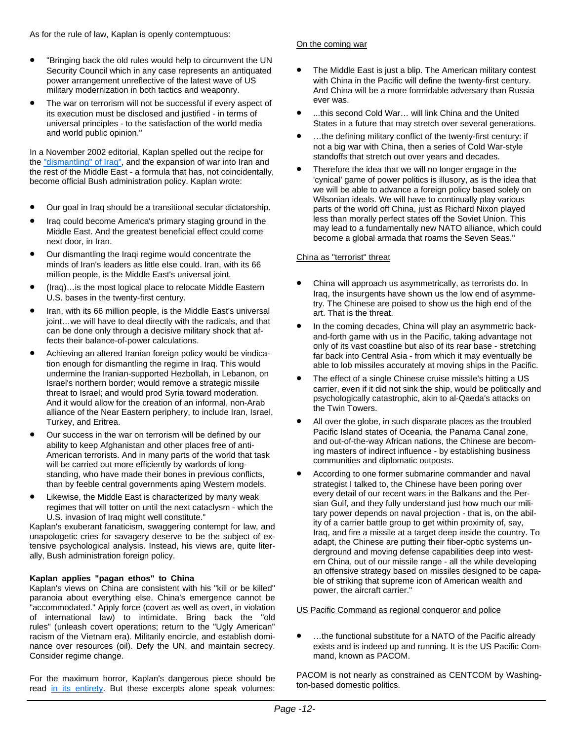- "Bringing back the old rules would help to circumvent the UN Security Council which in any case represents an antiquated power arrangement unreflective of the latest wave of US military modernization in both tactics and weaponry.
- The war on terrorism will not be successful if every aspect of its execution must be disclosed and justified - in terms of universal principles - to the satisfaction of the world media and world public opinion."

In a November 2002 editorial, Kaplan spelled out the recipe for the "dismantling" of Iraq", and the expansion of war into Iran and the rest of the Middle East - a formula that has, not coincidentally, become official Bush administration policy. Kaplan wrote:

- Our goal in Iraq should be a transitional secular dictatorship.
- Iraq could become America's primary staging ground in the Middle East. And the greatest beneficial effect could come next door, in Iran.
- Our dismantling the Iraqi regime would concentrate the minds of Iran's leaders as little else could. Iran, with its 66 million people, is the Middle East's universal joint.
- (Iraq)…is the most logical place to relocate Middle Eastern U.S. bases in the twenty-first century.
- Iran, with its 66 million people, is the Middle East's universal joint…we will have to deal directly with the radicals, and that can be done only through a decisive military shock that affects their balance-of-power calculations.
- Achieving an altered Iranian foreign policy would be vindication enough for dismantling the regime in Iraq. This would undermine the Iranian-supported Hezbollah, in Lebanon, on Israel's northern border; would remove a strategic missile threat to Israel; and would prod Syria toward moderation. And it would allow for the creation of an informal, non-Arab alliance of the Near Eastern periphery, to include Iran, Israel, Turkey, and Eritrea.
- Our success in the war on terrorism will be defined by our ability to keep Afghanistan and other places free of anti-American terrorists. And in many parts of the world that task will be carried out more efficiently by warlords of longstanding, who have made their bones in previous conflicts, than by feeble central governments aping Western models.
- Likewise, the Middle East is characterized by many weak regimes that will totter on until the next cataclysm - which the U.S. invasion of Iraq might well constitute."

Kaplan's exuberant fanaticism, swaggering contempt for law, and unapologetic cries for savagery deserve to be the subject of extensive psychological analysis. Instead, his views are, quite literally, Bush administration foreign policy.

### **Kaplan applies "pagan ethos" to China**

Kaplan's views on China are consistent with his "kill or be killed" paranoia about everything else. China's emergence cannot be "accommodated." Apply force (covert as well as overt, in violation of international law) to intimidate. Bring back the "old rules" (unleash covert operations; return to the "Ugly American" racism of the Vietnam era). Militarily encircle, and establish dominance over resources (oil). Defy the UN, and maintain secrecy. Consider regime change.

For the maximum horror, Kaplan's dangerous piece should be read in its entirety. But these excerpts alone speak volumes:

### On the coming war

- The Middle East is just a blip. The American military contest with China in the Pacific will define the twenty-first century. And China will be a more formidable adversary than Russia ever was.
- ...this second Cold War... will link China and the United States in a future that may stretch over several generations.
- ...the defining military conflict of the twenty-first century: if not a big war with China, then a series of Cold War-style standoffs that stretch out over years and decades.
- Therefore the idea that we will no longer engage in the 'cynical' game of power politics is illusory, as is the idea that we will be able to advance a foreign policy based solely on Wilsonian ideals. We will have to continually play various parts of the world off China, just as Richard Nixon played less than morally perfect states off the Soviet Union. This may lead to a fundamentally new NATO alliance, which could become a global armada that roams the Seven Seas."

### China as "terrorist" threat

- China will approach us asymmetrically, as terrorists do. In Iraq, the insurgents have shown us the low end of asymmetry. The Chinese are poised to show us the high end of the art. That is the threat.
- In the coming decades, China will play an asymmetric backand-forth game with us in the Pacific, taking advantage not only of its vast coastline but also of its rear base - stretching far back into Central Asia - from which it may eventually be able to lob missiles accurately at moving ships in the Pacific.
- The effect of a single Chinese cruise missile's hitting a US carrier, even if it did not sink the ship, would be politically and psychologically catastrophic, akin to al-Qaeda's attacks on the Twin Towers.
- All over the globe, in such disparate places as the troubled Pacific Island states of Oceania, the Panama Canal zone, and out-of-the-way African nations, the Chinese are becoming masters of indirect influence - by establishing business communities and diplomatic outposts.
- According to one former submarine commander and naval strategist I talked to, the Chinese have been poring over every detail of our recent wars in the Balkans and the Persian Gulf, and they fully understand just how much our military power depends on naval projection - that is, on the ability of a carrier battle group to get within proximity of, say, Iraq, and fire a missile at a target deep inside the country. To adapt, the Chinese are putting their fiber-optic systems underground and moving defense capabilities deep into western China, out of our missile range - all the while developing an offensive strategy based on missiles designed to be capable of striking that supreme icon of American wealth and power, the aircraft carrier."

### US Pacific Command as regional conqueror and police

...the functional substitute for a NATO of the Pacific already exists and is indeed up and running. It is the US Pacific Command, known as PACOM.

PACOM is not nearly as constrained as CENTCOM by Washington-based domestic politics.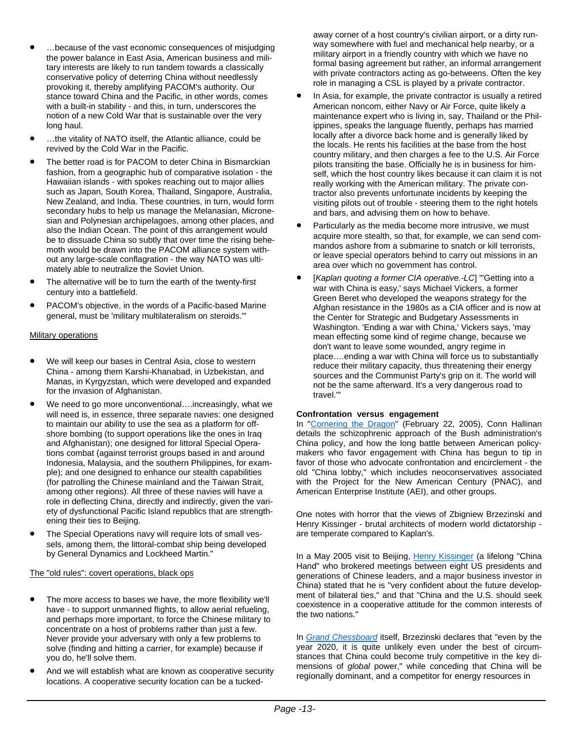- ... because of the vast economic consequences of misjudging the power balance in East Asia, American business and military interests are likely to run tandem towards a classically conservative policy of deterring China without needlessly provoking it, thereby amplifying PACOM's authority. Our stance toward China and the Pacific, in other words, comes with a built-in stability - and this, in turn, underscores the notion of a new Cold War that is sustainable over the very long haul.
- ...the vitality of NATO itself, the Atlantic alliance, could be revived by the Cold War in the Pacific.
- The better road is for PACOM to deter China in Bismarckian fashion, from a geographic hub of comparative isolation - the Hawaiian islands - with spokes reaching out to major allies such as Japan, South Korea, Thailand, Singapore, Australia, New Zealand, and India. These countries, in turn, would form secondary hubs to help us manage the Melanasian, Micronesian and Polynesian archipelagoes, among other places, and also the Indian Ocean. The point of this arrangement would be to dissuade China so subtly that over time the rising behemoth would be drawn into the PACOM alliance system without any large-scale conflagration - the way NATO was ultimately able to neutralize the Soviet Union.
- The alternative will be to turn the earth of the twenty-first century into a battlefield.
- PACOM's objective, in the words of a Pacific-based Marine general, must be 'military multilateralism on steroids.'"

### Military operations

- We will keep our bases in Central Asia, close to western China - among them Karshi-Khanabad, in Uzbekistan, and Manas, in Kyrgyzstan, which were developed and expanded for the invasion of Afghanistan.
- We need to go more unconventional....increasingly, what we will need is, in essence, three separate navies: one designed to maintain our ability to use the sea as a platform for offshore bombing (to support operations like the ones in Iraq and Afghanistan); one designed for littoral Special Operations combat (against terrorist groups based in and around Indonesia, Malaysia, and the southern Philippines, for example); and one designed to enhance our stealth capabilities (for patrolling the Chinese mainland and the Taiwan Strait, among other regions). All three of these navies will have a role in deflecting China, directly and indirectly, given the variety of dysfunctional Pacific Island republics that are strengthening their ties to Beijing.
- The Special Operations navy will require lots of small vessels, among them, the littoral-combat ship being developed by General Dynamics and Lockheed Martin."

### The "old rules": covert operations, black ops

- The more access to bases we have, the more flexibility we'll have - to support unmanned flights, to allow aerial refueling, and perhaps more important, to force the Chinese military to concentrate on a host of problems rather than just a few. Never provide your adversary with only a few problems to solve (finding and hitting a carrier, for example) because if you do, he'll solve them.
- And we will establish what are known as cooperative security locations. A cooperative security location can be a tucked-

away corner of a host country's civilian airport, or a dirty runway somewhere with fuel and mechanical help nearby, or a military airport in a friendly country with which we have no formal basing agreement but rather, an informal arrangement with private contractors acting as go-betweens. Often the key role in managing a CSL is played by a private contractor.

- In Asia, for example, the private contractor is usually a retired American noncom, either Navy or Air Force, quite likely a maintenance expert who is living in, say, Thailand or the Philippines, speaks the language fluently, perhaps has married locally after a divorce back home and is generally liked by the locals. He rents his facilities at the base from the host country military, and then charges a fee to the U.S. Air Force pilots transiting the base. Officially he is in business for himself, which the host country likes because it can claim it is not really working with the American military. The private contractor also prevents unfortunate incidents by keeping the visiting pilots out of trouble - steering them to the right hotels and bars, and advising them on how to behave.
- Particularly as the media become more intrusive, we must acquire more stealth, so that, for example, we can send commandos ashore from a submarine to snatch or kill terrorists, or leave special operators behind to carry out missions in an area over which no government has control.
- [Kaplan quoting a former CIA operative.-LC] "'Getting into a war with China is easy,' says Michael Vickers, a former Green Beret who developed the weapons strategy for the Afghan resistance in the 1980s as a CIA officer and is now at the Center for Strategic and Budgetary Assessments in Washington. 'Ending a war with China,' Vickers says, 'may mean effecting some kind of regime change, because we don't want to leave some wounded, angry regime in place….ending a war with China will force us to substantially reduce their military capacity, thus threatening their energy sources and the Communist Party's grip on it. The world will not be the same afterward. It's a very dangerous road to travel.'"

### **Confrontation versus engagement**

In "Cornering the Dragon" (February 22, 2005), Conn Hallinan details the schizophrenic approach of the Bush administration's China policy, and how the long battle between American policymakers who favor engagement with China has begun to tip in favor of those who advocate confrontation and encirclement - the old "China lobby," which includes neoconservatives associated with the Project for the New American Century (PNAC), and American Enterprise Institute (AEI), and other groups.

One notes with horror that the views of Zbigniew Brzezinski and Henry Kissinger - brutal architects of modern world dictatorship are temperate compared to Kaplan's.

In a May 2005 visit to Beijing, Henry Kissinger (a lifelong "China Hand" who brokered meetings between eight US presidents and generations of Chinese leaders, and a major business investor in China) stated that he is "very confident about the future development of bilateral ties," and that "China and the U.S. should seek coexistence in a cooperative attitude for the common interests of the two nations."

In *Grand Chessboard* itself, Brzezinski declares that "even by the year 2020, it is quite unlikely even under the best of circumstances that China could become truly competitive in the key dimensions of *global* power," while conceding that China will be regionally dominant, and a competitor for energy resources in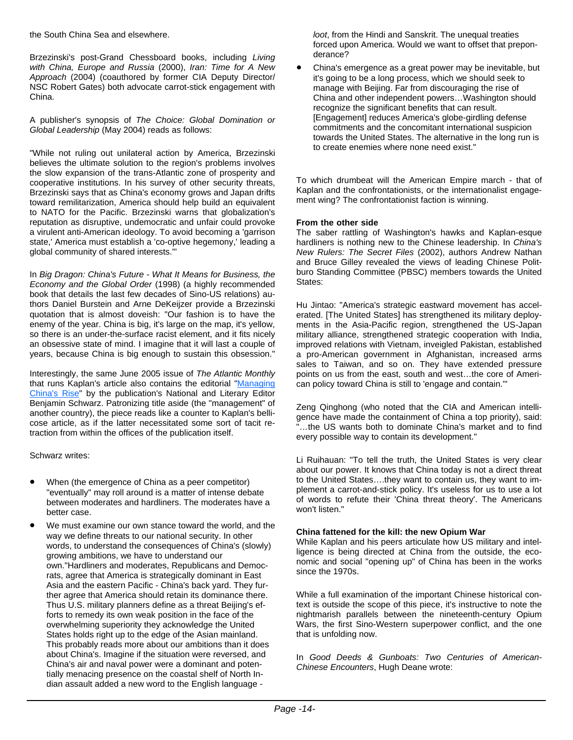the South China Sea and elsewhere.

Brzezinski's post-Grand Chessboard books, including *Living with China, Europe and Russia* (2000), *Iran: Time for A New Approach* (2004) (coauthored by former CIA Deputy Director/ NSC Robert Gates) both advocate carrot-stick engagement with China.

A publisher's synopsis of *The Choice: Global Domination or Global Leadership* (May 2004) reads as follows:

"While not ruling out unilateral action by America, Brzezinski believes the ultimate solution to the region's problems involves the slow expansion of the trans-Atlantic zone of prosperity and cooperative institutions. In his survey of other security threats, Brzezinski says that as China's economy grows and Japan drifts toward remilitarization, America should help build an equivalent to NATO for the Pacific. Brzezinski warns that globalization's reputation as disruptive, undemocratic and unfair could provoke a virulent anti-American ideology. To avoid becoming a 'garrison state,' America must establish a 'co-optive hegemony,' leading a global community of shared interests.'"

In *Big Dragon: China's Future - What It Means for Business, the Economy and the Global Order* (1998) (a highly recommended book that details the last few decades of Sino-US relations) authors Daniel Burstein and Arne DeKeijzer provide a Brzezinski quotation that is almost doveish: "Our fashion is to have the enemy of the year. China is big, it's large on the map, it's yellow, so there is an under-the-surface racist element, and it fits nicely an obsessive state of mind. I imagine that it will last a couple of years, because China is big enough to sustain this obsession."

Interestingly, the same June 2005 issue of *The Atlantic Monthly* that runs Kaplan's article also contains the editorial "Managing China's Rise" by the publication's National and Literary Editor Benjamin Schwarz. Patronizing title aside (the "management" of another country), the piece reads like a counter to Kaplan's bellicose article, as if the latter necessitated some sort of tacit retraction from within the offices of the publication itself.

Schwarz writes:

- When (the emergence of China as a peer competitor) "eventually" may roll around is a matter of intense debate between moderates and hardliners. The moderates have a better case.
- We must examine our own stance toward the world, and the way we define threats to our national security. In other words, to understand the consequences of China's (slowly) growing ambitions, we have to understand our own."Hardliners and moderates, Republicans and Democrats, agree that America is strategically dominant in East Asia and the eastern Pacific - China's back yard. They further agree that America should retain its dominance there. Thus U.S. military planners define as a threat Beijing's efforts to remedy its own weak position in the face of the overwhelming superiority they acknowledge the United States holds right up to the edge of the Asian mainland. This probably reads more about our ambitions than it does about China's. Imagine if the situation were reversed, and China's air and naval power were a dominant and potentially menacing presence on the coastal shelf of North Indian assault added a new word to the English language -

*loot*, from the Hindi and Sanskrit. The unequal treaties forced upon America. Would we want to offset that preponderance?

• China's emergence as a great power may be inevitable, but it's going to be a long process, which we should seek to manage with Beijing. Far from discouraging the rise of China and other independent powers…Washington should recognize the significant benefits that can result. [Engagement] reduces America's globe-girdling defense commitments and the concomitant international suspicion towards the United States. The alternative in the long run is to create enemies where none need exist."

To which drumbeat will the American Empire march - that of Kaplan and the confrontationists, or the internationalist engagement wing? The confrontationist faction is winning.

### **From the other side**

The saber rattling of Washington's hawks and Kaplan-esque hardliners is nothing new to the Chinese leadership. In *China's New Rulers: The Secret Files* (2002), authors Andrew Nathan and Bruce Gilley revealed the views of leading Chinese Politburo Standing Committee (PBSC) members towards the United States:

Hu Jintao: "America's strategic eastward movement has accelerated. [The United States] has strengthened its military deployments in the Asia-Pacific region, strengthened the US-Japan military alliance, strengthened strategic cooperation with India, improved relations with Vietnam, inveigled Pakistan, established a pro-American government in Afghanistan, increased arms sales to Taiwan, and so on. They have extended pressure points on us from the east, south and west…the core of American policy toward China is still to 'engage and contain.'"

Zeng Qinghong (who noted that the CIA and American intelligence have made the containment of China a top priority), said: "…the US wants both to dominate China's market and to find every possible way to contain its development."

Li Ruihauan: "To tell the truth, the United States is very clear about our power. It knows that China today is not a direct threat to the United States….they want to contain us, they want to implement a carrot-and-stick policy. It's useless for us to use a lot of words to refute their 'China threat theory'. The Americans won't listen."

### **China fattened for the kill: the new Opium War**

While Kaplan and his peers articulate how US military and intelligence is being directed at China from the outside, the economic and social "opening up" of China has been in the works since the 1970s.

While a full examination of the important Chinese historical context is outside the scope of this piece, it's instructive to note the nightmarish parallels between the nineteenth-century Opium Wars, the first Sino-Western superpower conflict, and the one that is unfolding now.

In *Good Deeds & Gunboats: Two Centuries of American-Chinese Encounters*, Hugh Deane wrote: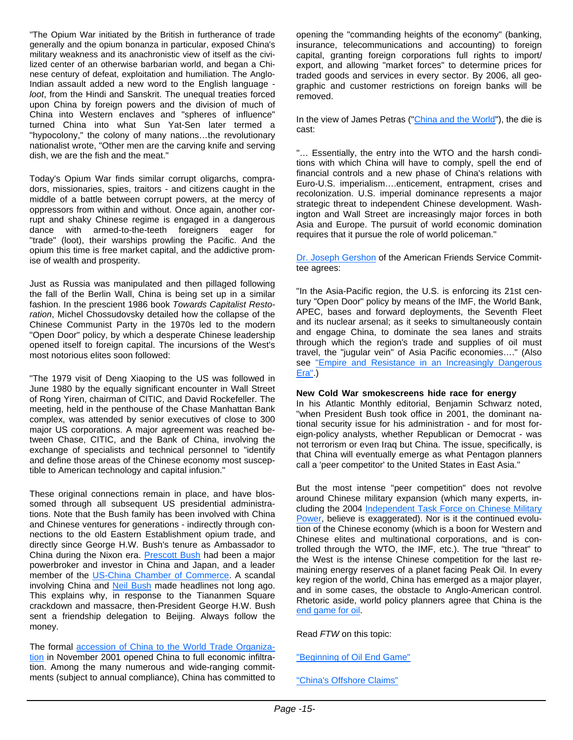"The Opium War initiated by the British in furtherance of trade generally and the opium bonanza in particular, exposed China's military weakness and its anachronistic view of itself as the civilized center of an otherwise barbarian world, and began a Chinese century of defeat, exploitation and humiliation. The Anglo-Indian assault added a new word to the English language *loot*, from the Hindi and Sanskrit. The unequal treaties forced upon China by foreign powers and the division of much of China into Western enclaves and "spheres of influence" turned China into what Sun Yat-Sen later termed a "hypocolony," the colony of many nations…the revolutionary nationalist wrote, "Other men are the carving knife and serving dish, we are the fish and the meat."

Today's Opium War finds similar corrupt oligarchs, compradors, missionaries, spies, traitors - and citizens caught in the middle of a battle between corrupt powers, at the mercy of oppressors from within and without. Once again, another corrupt and shaky Chinese regime is engaged in a dangerous dance with armed-to-the-teeth foreigners eager for "trade" (loot), their warships prowling the Pacific. And the opium this time is free market capital, and the addictive promise of wealth and prosperity.

Just as Russia was manipulated and then pillaged following the fall of the Berlin Wall, China is being set up in a similar fashion. In the prescient 1986 book *Towards Capitalist Restoration*, Michel Chossudovsky detailed how the collapse of the Chinese Communist Party in the 1970s led to the modern "Open Door" policy, by which a desperate Chinese leadership opened itself to foreign capital. The incursions of the West's most notorious elites soon followed:

"The 1979 visit of Deng Xiaoping to the US was followed in June 1980 by the equally significant encounter in Wall Street of Rong Yiren, chairman of CITIC, and David Rockefeller. The meeting, held in the penthouse of the Chase Manhattan Bank complex, was attended by senior executives of close to 300 major US corporations. A major agreement was reached between Chase, CITIC, and the Bank of China, involving the exchange of specialists and technical personnel to "identify and define those areas of the Chinese economy most susceptible to American technology and capital infusion."

These original connections remain in place, and have blossomed through all subsequent US presidential administrations. Note that the Bush family has been involved with China and Chinese ventures for generations - indirectly through connections to the old Eastern Establishment opium trade, and directly since George H.W. Bush's tenure as Ambassador to China during the Nixon era. Prescott Bush had been a major powerbroker and investor in China and Japan, and a leader member of the US-China Chamber of Commerce. A scandal involving China and Neil Bush made headlines not long ago. This explains why, in response to the Tiananmen Square crackdown and massacre, then-President George H.W. Bush sent a friendship delegation to Beijing. Always follow the money.

The formal accession of China to the World Trade Organization in November 2001 opened China to full economic infiltration. Among the many numerous and wide-ranging commitments (subject to annual compliance), China has committed to opening the "commanding heights of the economy" (banking, insurance, telecommunications and accounting) to foreign capital, granting foreign corporations full rights to import/ export, and allowing "market forces" to determine prices for traded goods and services in every sector. By 2006, all geographic and customer restrictions on foreign banks will be removed.

In the view of James Petras ("China and the World"), the die is cast:

"… Essentially, the entry into the WTO and the harsh conditions with which China will have to comply, spell the end of financial controls and a new phase of China's relations with Euro-U.S. imperialism….enticement, entrapment, crises and recolonization. U.S. imperial dominance represents a major strategic threat to independent Chinese development. Washington and Wall Street are increasingly major forces in both Asia and Europe. The pursuit of world economic domination requires that it pursue the role of world policeman."

Dr. Joseph Gershon of the American Friends Service Committee agrees:

"In the Asia-Pacific region, the U.S. is enforcing its 21st century "Open Door" policy by means of the IMF, the World Bank, APEC, bases and forward deployments, the Seventh Fleet and its nuclear arsenal; as it seeks to simultaneously contain and engage China, to dominate the sea lanes and straits through which the region's trade and supplies of oil must travel, the "jugular vein" of Asia Pacific economies…." (Also see "Empire and Resistance in an Increasingly Dangerous Era".)

### **New Cold War smokescreens hide race for energy**

In his Atlantic Monthly editorial, Benjamin Schwarz noted, "when President Bush took office in 2001, the dominant national security issue for his administration - and for most foreign-policy analysts, whether Republican or Democrat - was not terrorism or even Iraq but China. The issue, specifically, is that China will eventually emerge as what Pentagon planners call a 'peer competitor' to the United States in East Asia."

But the most intense "peer competition" does not revolve around Chinese military expansion (which many experts, including the 2004 Independent Task Force on Chinese Military Power, believe is exaggerated). Nor is it the continued evolution of the Chinese economy (which is a boon for Western and Chinese elites and multinational corporations, and is controlled through the WTO, the IMF, etc.). The true "threat" to the West is the intense Chinese competition for the last remaining energy reserves of a planet facing Peak Oil. In every key region of the world, China has emerged as a major player, and in some cases, the obstacle to Anglo-American control. Rhetoric aside, world policy planners agree that China is the end game for oil.

Read *FTW* on this topic:

"Beginning of Oil End Game"

"China's Offshore Claims"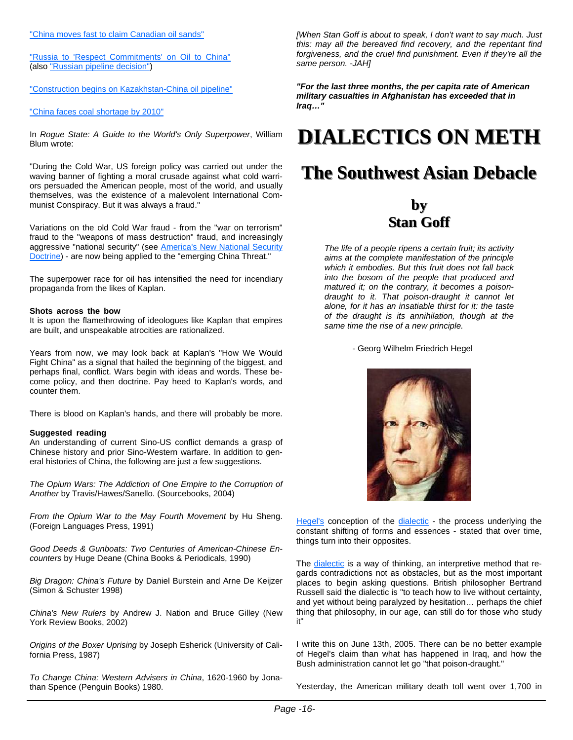"China moves fast to claim Canadian oil sands"

"Russia to 'Respect Commitments' on Oil to China" (also "Russian pipeline decision")

"Construction begins on Kazakhstan-China oil pipeline"

"China faces coal shortage by 2010"

In *Rogue State: A Guide to the World's Only Superpower*, William Blum wrote:

"During the Cold War, US foreign policy was carried out under the waving banner of fighting a moral crusade against what cold warriors persuaded the American people, most of the world, and usually themselves, was the existence of a malevolent International Communist Conspiracy. But it was always a fraud."

Variations on the old Cold War fraud - from the "war on terrorism" fraud to the "weapons of mass destruction" fraud, and increasingly aggressive "national security" (see America's New National Security Doctrine) - are now being applied to the "emerging China Threat."

The superpower race for oil has intensified the need for incendiary propaganda from the likes of Kaplan.

#### **Shots across the bow**

It is upon the flamethrowing of ideologues like Kaplan that empires are built, and unspeakable atrocities are rationalized.

Years from now, we may look back at Kaplan's "How We Would Fight China" as a signal that hailed the beginning of the biggest, and perhaps final, conflict. Wars begin with ideas and words. These become policy, and then doctrine. Pay heed to Kaplan's words, and counter them.

There is blood on Kaplan's hands, and there will probably be more.

#### **Suggested reading**

An understanding of current Sino-US conflict demands a grasp of Chinese history and prior Sino-Western warfare. In addition to general histories of China, the following are just a few suggestions.

*The Opium Wars: The Addiction of One Empire to the Corruption of Another* by Travis/Hawes/Sanello. (Sourcebooks, 2004)

*From the Opium War to the May Fourth Movement* by Hu Sheng. (Foreign Languages Press, 1991)

*Good Deeds & Gunboats: Two Centuries of American-Chinese Encounters* by Huge Deane (China Books & Periodicals, 1990)

*Big Dragon: China's Future* by Daniel Burstein and Arne De Keijzer (Simon & Schuster 1998)

*China's New Rulers* by Andrew J. Nation and Bruce Gilley (New York Review Books, 2002)

*Origins of the Boxer Uprising* by Joseph Esherick (University of California Press, 1987)

*To Change China: Western Advisers in China*, 1620-1960 by Jonathan Spence (Penguin Books) 1980.

*[When Stan Goff is about to speak, I don't want to say much. Just this: may all the bereaved find recovery, and the repentant find forgiveness, and the cruel find punishment. Even if they're all the same person. -JAH]*

*"For the last three months, the per capita rate of American military casualties in Afghanistan has exceeded that in Iraq…"*

# **DIALECTICS ON METH DIALECTICS ON METH**

# **The Southwest Asian Debacle The Southwest Asian Debacle**

**by Stan Goff Stan Goff**

*The life of a people ripens a certain fruit; its activity aims at the complete manifestation of the principle which it embodies. But this fruit does not fall back into the bosom of the people that produced and matured it; on the contrary, it becomes a poisondraught to it. That poison-draught it cannot let alone, for it has an insatiable thirst for it: the taste of the draught is its annihilation, though at the same time the rise of a new principle.*

- Georg Wilhelm Friedrich Hegel



Hegel's conception of the dialectic - the process underlying the constant shifting of forms and essences - stated that over time, things turn into their opposites.

The dialectic is a way of thinking, an interpretive method that regards contradictions not as obstacles, but as the most important places to begin asking questions. British philosopher Bertrand Russell said the dialectic is "to teach how to live without certainty, and yet without being paralyzed by hesitation… perhaps the chief thing that philosophy, in our age, can still do for those who study it"

I write this on June 13th, 2005. There can be no better example of Hegel's claim than what has happened in Iraq, and how the Bush administration cannot let go "that poison-draught."

Yesterday, the American military death toll went over 1,700 in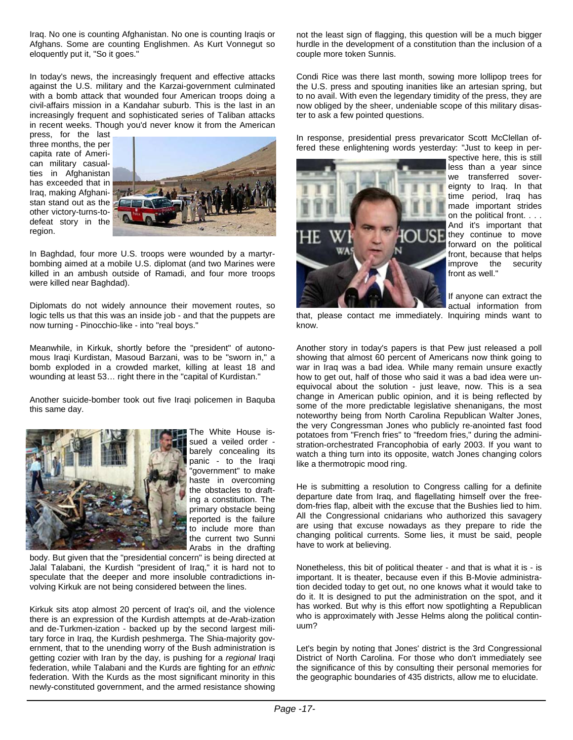Iraq. No one is counting Afghanistan. No one is counting Iraqis or Afghans. Some are counting Englishmen. As Kurt Vonnegut so eloquently put it, "So it goes."

In today's news, the increasingly frequent and effective attacks against the U.S. military and the Karzai-government culminated with a bomb attack that wounded four American troops doing a civil-affairs mission in a Kandahar suburb. This is the last in an increasingly frequent and sophisticated series of Taliban attacks in recent weeks. Though you'd never know it from the American

press, for the last three months, the per capita rate of American military casualties in Afghanistan has exceeded that in Iraq, making Afghanistan stand out as the other victory-turns-todefeat story in the region.



In Baghdad, four more U.S. troops were wounded by a martyrbombing aimed at a mobile U.S. diplomat (and two Marines were killed in an ambush outside of Ramadi, and four more troops were killed near Baghdad).

Diplomats do not widely announce their movement routes, so logic tells us that this was an inside job - and that the puppets are now turning - Pinocchio-like - into "real boys."

Meanwhile, in Kirkuk, shortly before the "president" of autonomous Iraqi Kurdistan, Masoud Barzani, was to be "sworn in," a bomb exploded in a crowded market, killing at least 18 and wounding at least 53… right there in the "capital of Kurdistan."

Another suicide-bomber took out five Iraqi policemen in Baquba this same day.



The White House issued a veiled order barely concealing its panic - to the Iraqi "government" to make haste in overcoming the obstacles to drafting a constitution. The primary obstacle being reported is the failure to include more than the current two Sunni Arabs in the drafting

body. But given that the "presidential concern" is being directed at Jalal Talabani, the Kurdish "president of Iraq," it is hard not to speculate that the deeper and more insoluble contradictions involving Kirkuk are not being considered between the lines.

Kirkuk sits atop almost 20 percent of Iraq's oil, and the violence there is an expression of the Kurdish attempts at de-Arab-ization and de-Turkmen-ization - backed up by the second largest military force in Iraq, the Kurdish peshmerga. The Shia-majority government, that to the unending worry of the Bush administration is getting cozier with Iran by the day, is pushing for a *regional* Iraqi federation, while Talabani and the Kurds are fighting for an *ethnic* federation. With the Kurds as the most significant minority in this newly-constituted government, and the armed resistance showing not the least sign of flagging, this question will be a much bigger hurdle in the development of a constitution than the inclusion of a couple more token Sunnis.

Condi Rice was there last month, sowing more lollipop trees for the U.S. press and spouting inanities like an artesian spring, but to no avail. With even the legendary timidity of the press, they are now obliged by the sheer, undeniable scope of this military disaster to ask a few pointed questions.

In response, presidential press prevaricator Scott McClellan offered these enlightening words yesterday: "Just to keep in per-



spective here, this is still less than a year since we transferred sovereignty to Iraq. In that time period, Iraq has made important strides on the political front. . . . And it's important that they continue to move forward on the political front, because that helps improve the security front as well."

If anyone can extract the actual information from

that, please contact me immediately. Inquiring minds want to know.

Another story in today's papers is that Pew just released a poll showing that almost 60 percent of Americans now think going to war in Iraq was a bad idea. While many remain unsure exactly how to get out, half of those who said it was a bad idea were unequivocal about the solution - just leave, now. This is a sea change in American public opinion, and it is being reflected by some of the more predictable legislative shenanigans, the most noteworthy being from North Carolina Republican Walter Jones, the very Congressman Jones who publicly re-anointed fast food potatoes from "French fries" to "freedom fries," during the administration-orchestrated Francophobia of early 2003. If you want to watch a thing turn into its opposite, watch Jones changing colors like a thermotropic mood ring.

He is submitting a resolution to Congress calling for a definite departure date from Iraq, and flagellating himself over the freedom-fries flap, albeit with the excuse that the Bushies lied to him. All the Congressional cnidarians who authorized this savagery are using that excuse nowadays as they prepare to ride the changing political currents. Some lies, it must be said, people have to work at believing.

Nonetheless, this bit of political theater - and that is what it is - is important. It is theater, because even if this B-Movie administration decided today to get out, no one knows what it would take to do it. It is designed to put the administration on the spot, and it has worked. But why is this effort now spotlighting a Republican who is approximately with Jesse Helms along the political continuum?

Let's begin by noting that Jones' district is the 3rd Congressional District of North Carolina. For those who don't immediately see the significance of this by consulting their personal memories for the geographic boundaries of 435 districts, allow me to elucidate.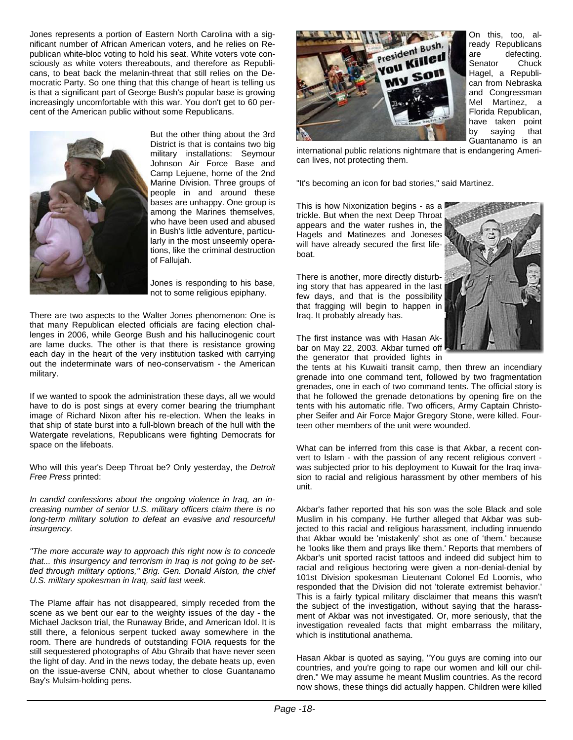Jones represents a portion of Eastern North Carolina with a significant number of African American voters, and he relies on Republican white-bloc voting to hold his seat. White voters vote consciously as white voters thereabouts, and therefore as Republicans, to beat back the melanin-threat that still relies on the Democratic Party. So one thing that this change of heart is telling us is that a significant part of George Bush's popular base is growing increasingly uncomfortable with this war. You don't get to 60 percent of the American public without some Republicans.



But the other thing about the 3rd District is that is contains two big military installations: Seymour Johnson Air Force Base and Camp Lejuene, home of the 2nd Marine Division. Three groups of people in and around these bases are unhappy. One group is among the Marines themselves, who have been used and abused in Bush's little adventure, particularly in the most unseemly operations, like the criminal destruction of Fallujah.

Jones is responding to his base, not to some religious epiphany.

There are two aspects to the Walter Jones phenomenon: One is that many Republican elected officials are facing election challenges in 2006, while George Bush and his hallucinogenic court are lame ducks. The other is that there is resistance growing each day in the heart of the very institution tasked with carrying out the indeterminate wars of neo-conservatism - the American military.

If we wanted to spook the administration these days, all we would have to do is post sings at every corner bearing the triumphant image of Richard Nixon after his re-election. When the leaks in that ship of state burst into a full-blown breach of the hull with the Watergate revelations, Republicans were fighting Democrats for space on the lifeboats.

Who will this year's Deep Throat be? Only yesterday, the *Detroit Free Press* printed:

*In candid confessions about the ongoing violence in Iraq, an increasing number of senior U.S. military officers claim there is no long-term military solution to defeat an evasive and resourceful insurgency.*

*"The more accurate way to approach this right now is to concede that... this insurgency and terrorism in Iraq is not going to be settled through military options," Brig. Gen. Donald Alston, the chief U.S. military spokesman in Iraq, said last week.*

The Plame affair has not disappeared, simply receded from the scene as we bent our ear to the weighty issues of the day - the Michael Jackson trial, the Runaway Bride, and American Idol. It is still there, a felonious serpent tucked away somewhere in the room. There are hundreds of outstanding FOIA requests for the still sequestered photographs of Abu Ghraib that have never seen the light of day. And in the news today, the debate heats up, even on the issue-averse CNN, about whether to close Guantanamo Bay's Mulsim-holding pens.



On this, too, already Republicans are defecting. Senator Chuck Hagel, a Republican from Nebraska and Congressman Mel Martinez, a Florida Republican, have taken point by saying that Guantanamo is an

international public relations nightmare that is endangering American lives, not protecting them.

"It's becoming an icon for bad stories," said Martinez.

This is how Nixonization begins - as a trickle. But when the next Deep Throat appears and the water rushes in, the Hagels and Matinezes and Joneses will have already secured the first lifeboat.

There is another, more directly disturbing story that has appeared in the last few days, and that is the possibility that fragging will begin to happen in Iraq. It probably already has.



The first instance was with Hasan Akbar on May 22, 2003. Akbar turned off the generator that provided lights in

the tents at his Kuwaiti transit camp, then threw an incendiary grenade into one command tent, followed by two fragmentation grenades, one in each of two command tents. The official story is that he followed the grenade detonations by opening fire on the tents with his automatic rifle. Two officers, Army Captain Christopher Seifer and Air Force Major Gregory Stone, were killed. Fourteen other members of the unit were wounded.

What can be inferred from this case is that Akbar, a recent convert to Islam - with the passion of any recent religious convert was subjected prior to his deployment to Kuwait for the Iraq invasion to racial and religious harassment by other members of his unit.

Akbar's father reported that his son was the sole Black and sole Muslim in his company. He further alleged that Akbar was subjected to this racial and religious harassment, including innuendo that Akbar would be 'mistakenly' shot as one of 'them.' because he 'looks like them and prays like them.' Reports that members of Akbar's unit sported racist tattoos and indeed did subject him to racial and religious hectoring were given a non-denial-denial by 101st Division spokesman Lieutenant Colonel Ed Loomis, who responded that the Division did not 'tolerate extremist behavior.' This is a fairly typical military disclaimer that means this wasn't the subject of the investigation, without saying that the harassment of Akbar was not investigated. Or, more seriously, that the investigation revealed facts that might embarrass the military, which is institutional anathema.

Hasan Akbar is quoted as saying, "You guys are coming into our countries, and you're going to rape our women and kill our children." We may assume he meant Muslim countries. As the record now shows, these things did actually happen. Children were killed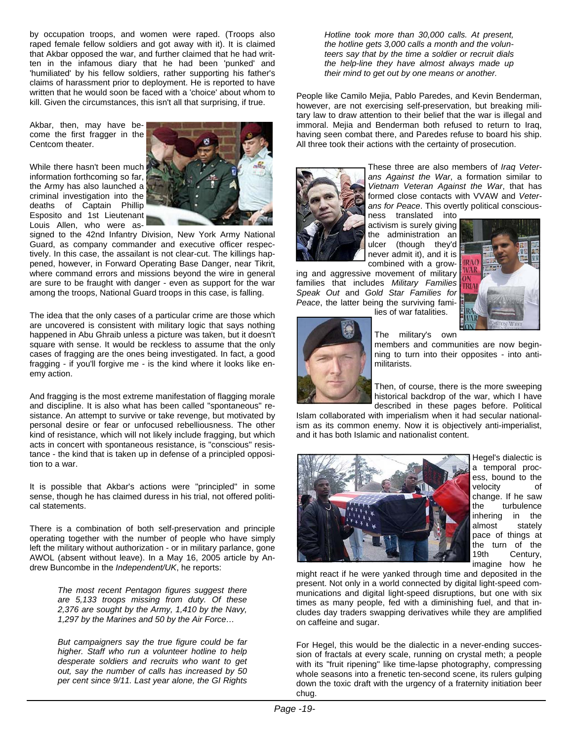by occupation troops, and women were raped. (Troops also raped female fellow soldiers and got away with it). It is claimed that Akbar opposed the war, and further claimed that he had written in the infamous diary that he had been 'punked' and 'humiliated' by his fellow soldiers, rather supporting his father's claims of harassment prior to deployment. He is reported to have written that he would soon be faced with a 'choice' about whom to kill. Given the circumstances, this isn't all that surprising, if true.

Akbar, then, may have become the first fragger in the Centcom theater.

While there hasn't been much information forthcoming so far, the Army has also launched a criminal investigation into the deaths of Captain Phillip Esposito and 1st Lieutenant Louis Allen, who were as-



signed to the 42nd Infantry Division, New York Army National Guard, as company commander and executive officer respectively. In this case, the assailant is not clear-cut. The killings happened, however, in Forward Operating Base Danger, near Tikrit, where command errors and missions beyond the wire in general are sure to be fraught with danger - even as support for the war among the troops, National Guard troops in this case, is falling.

The idea that the only cases of a particular crime are those which are uncovered is consistent with military logic that says nothing happened in Abu Ghraib unless a picture was taken, but it doesn't square with sense. It would be reckless to assume that the only cases of fragging are the ones being investigated. In fact, a good fragging - if you'll forgive me - is the kind where it looks like enemy action.

And fragging is the most extreme manifestation of flagging morale and discipline. It is also what has been called "spontaneous" resistance. An attempt to survive or take revenge, but motivated by personal desire or fear or unfocused rebelliousness. The other kind of resistance, which will not likely include fragging, but which acts in concert with spontaneous resistance, is "conscious" resistance - the kind that is taken up in defense of a principled opposition to a war.

It is possible that Akbar's actions were "principled" in some sense, though he has claimed duress in his trial, not offered political statements.

There is a combination of both self-preservation and principle operating together with the number of people who have simply left the military without authorization - or in military parlance, gone AWOL (absent without leave). In a May 16, 2005 article by Andrew Buncombe in the *Independent/UK*, he reports:

> *The most recent Pentagon figures suggest there are 5,133 troops missing from duty. Of these 2,376 are sought by the Army, 1,410 by the Navy, 1,297 by the Marines and 50 by the Air Force…*

> *But campaigners say the true figure could be far higher. Staff who run a volunteer hotline to help desperate soldiers and recruits who want to get out, say the number of calls has increased by 50 per cent since 9/11. Last year alone, the GI Rights*

*Hotline took more than 30,000 calls. At present, the hotline gets 3,000 calls a month and the volunteers say that by the time a soldier or recruit dials the help-line they have almost always made up their mind to get out by one means or another.*

People like Camilo Mejia, Pablo Paredes, and Kevin Benderman, however, are not exercising self-preservation, but breaking military law to draw attention to their belief that the war is illegal and immoral. Mejia and Benderman both refused to return to Iraq, having seen combat there, and Paredes refuse to board his ship. All three took their actions with the certainty of prosecution.



These three are also members of *Iraq Veterans Against the War*, a formation similar to *Vietnam Veteran Against the War*, that has formed close contacts with VVAW and *Veterans for Peace*. This overtly political conscious-

ness translated into activism is surely giving the administration an ulcer (though they'd never admit it), and it is combined with a grow-

ing and aggressive movement of military families that includes *Military Families Speak Out* and *Gold Star Families for Peace*, the latter being the surviving families of war fatalities.





The military's own

members and communities are now beginning to turn into their opposites - into antimilitarists.

Then, of course, there is the more sweeping historical backdrop of the war, which I have described in these pages before. Political

Islam collaborated with imperialism when it had secular nationalism as its common enemy. Now it is objectively anti-imperialist, and it has both Islamic and nationalist content.



Hegel's dialectic is a temporal process, bound to the velocity of change. If he saw the turbulence inhering in the almost stately pace of things at the turn of the 19th Century, imagine how he

might react if he were yanked through time and deposited in the present. Not only in a world connected by digital light-speed communications and digital light-speed disruptions, but one with six times as many people, fed with a diminishing fuel, and that includes day traders swapping derivatives while they are amplified on caffeine and sugar.

For Hegel, this would be the dialectic in a never-ending succession of fractals at every scale, running on crystal meth; a people with its "fruit ripening" like time-lapse photography, compressing whole seasons into a frenetic ten-second scene, its rulers gulping down the toxic draft with the urgency of a fraternity initiation beer chug.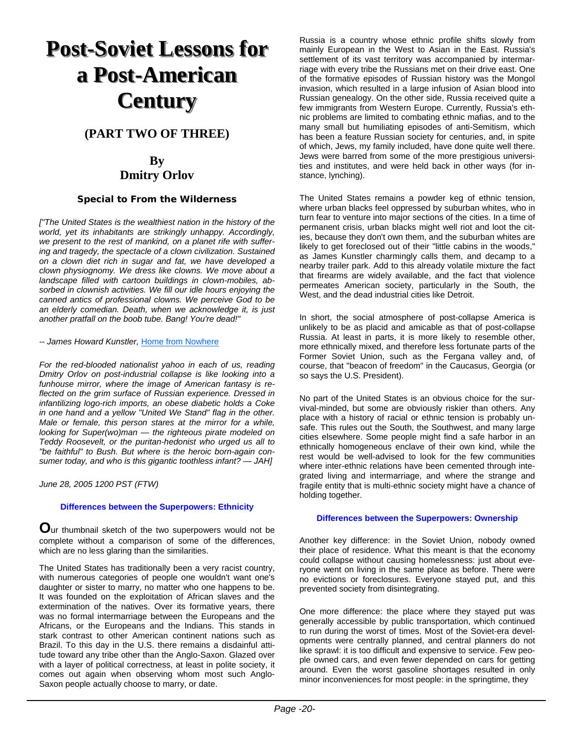# **Post-Soviet Lessons for a Post-American American Century Century**

### **(PART TWO OF THREE)**

### **By Dmitry Orlov**

### **Special to** *From the Wilderness*

*["The United States is the wealthiest nation in the history of the world, yet its inhabitants are strikingly unhappy. Accordingly, we present to the rest of mankind, on a planet rife with suffering and tragedy, the spectacle of a clown civilization. Sustained on a clown diet rich in sugar and fat, we have developed a clown physiognomy. We dress like clowns. We move about a landscape filled with cartoon buildings in clown-mobiles, absorbed in clownish activities. We fill our idle hours enjoying the canned antics of professional clowns. We perceive God to be an elderly comedian. Death, when we acknowledge it, is just another pratfall on the boob tube. Bang! You're dead!"*

#### *-- James Howard Kunstler,* Home from Nowhere

*For the red-blooded nationalist yahoo in each of us, reading Dmitry Orlov on post-industrial collapse is like looking into a funhouse mirror, where the image of American fantasy is reflected on the grim surface of Russian experience. Dressed in infantilizing logo-rich imports, an obese diabetic holds a Coke in one hand and a yellow "United We Stand" flag in the other. Male or female, this person stares at the mirror for a while, looking for Super(wo)man — the righteous pirate modeled on Teddy Roosevelt, or the puritan-hedonist who urged us all to "be faithful" to Bush. But where is the heroic born-again consumer today, and who is this gigantic toothless infant? — JAH]*

*June 28, 2005 1200 PST (FTW)*

### **Differences between the Superpowers: Ethnicity**

**O**ur thumbnail sketch of the two superpowers would not be complete without a comparison of some of the differences, which are no less glaring than the similarities.

The United States has traditionally been a very racist country, with numerous categories of people one wouldn't want one's daughter or sister to marry, no matter who one happens to be. It was founded on the exploitation of African slaves and the extermination of the natives. Over its formative years, there was no formal intermarriage between the Europeans and the Africans, or the Europeans and the Indians. This stands in stark contrast to other American continent nations such as Brazil. To this day in the U.S. there remains a disdainful attitude toward any tribe other than the Anglo-Saxon. Glazed over with a layer of political correctness, at least in polite society, it comes out again when observing whom most such Anglo-Saxon people actually choose to marry, or date.

Russia is a country whose ethnic profile shifts slowly from mainly European in the West to Asian in the East. Russia's settlement of its vast territory was accompanied by intermarriage with every tribe the Russians met on their drive east. One of the formative episodes of Russian history was the Mongol invasion, which resulted in a large infusion of Asian blood into Russian genealogy. On the other side, Russia received quite a few immigrants from Western Europe. Currently, Russia's ethnic problems are limited to combating ethnic mafias, and to the many small but humiliating episodes of anti-Semitism, which has been a feature Russian society for centuries, and, in spite of which, Jews, my family included, have done quite well there. Jews were barred from some of the more prestigious universities and institutes, and were held back in other ways (for instance, lynching).

The United States remains a powder keg of ethnic tension, where urban blacks feel oppressed by suburban whites, who in turn fear to venture into major sections of the cities. In a time of permanent crisis, urban blacks might well riot and loot the cities, because they don't own them, and the suburban whites are likely to get foreclosed out of their "little cabins in the woods," as James Kunstler charmingly calls them, and decamp to a nearby trailer park. Add to this already volatile mixture the fact that firearms are widely available, and the fact that violence permeates American society, particularly in the South, the West, and the dead industrial cities like Detroit.

In short, the social atmosphere of post-collapse America is unlikely to be as placid and amicable as that of post-collapse Russia. At least in parts, it is more likely to resemble other, more ethnically mixed, and therefore less fortunate parts of the Former Soviet Union, such as the Fergana valley and, of course, that "beacon of freedom" in the Caucasus, Georgia (or so says the U.S. President).

No part of the United States is an obvious choice for the survival-minded, but some are obviously riskier than others. Any place with a history of racial or ethnic tension is probably unsafe. This rules out the South, the Southwest, and many large cities elsewhere. Some people might find a safe harbor in an ethnically homogeneous enclave of their own kind, while the rest would be well-advised to look for the few communities where inter-ethnic relations have been cemented through integrated living and intermarriage, and where the strange and fragile entity that is multi-ethnic society might have a chance of holding together.

### **Differences between the Superpowers: Ownership**

Another key difference: in the Soviet Union, nobody owned their place of residence. What this meant is that the economy could collapse without causing homelessness: just about everyone went on living in the same place as before. There were no evictions or foreclosures. Everyone stayed put, and this prevented society from disintegrating.

One more difference: the place where they stayed put was generally accessible by public transportation, which continued to run during the worst of times. Most of the Soviet-era developments were centrally planned, and central planners do not like sprawl: it is too difficult and expensive to service. Few people owned cars, and even fewer depended on cars for getting around. Even the worst gasoline shortages resulted in only minor inconveniences for most people: in the springtime, they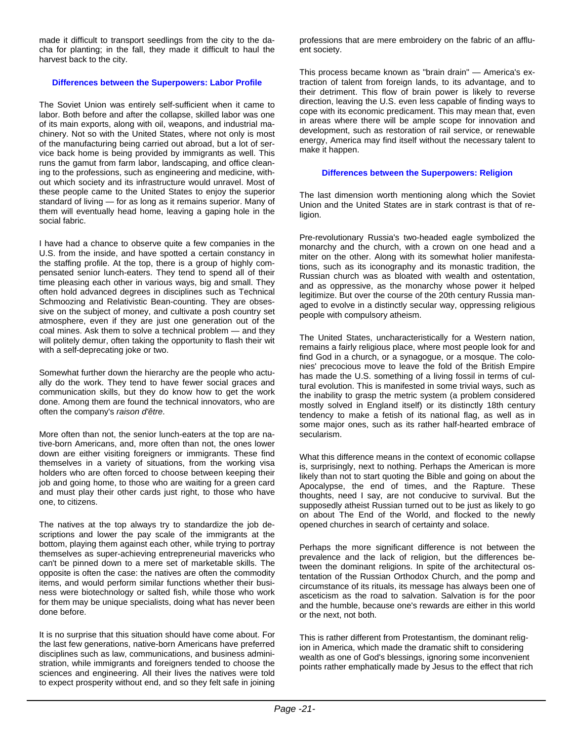made it difficult to transport seedlings from the city to the dacha for planting; in the fall, they made it difficult to haul the harvest back to the city.

### **Differences between the Superpowers: Labor Profile**

The Soviet Union was entirely self-sufficient when it came to labor. Both before and after the collapse, skilled labor was one of its main exports, along with oil, weapons, and industrial machinery. Not so with the United States, where not only is most of the manufacturing being carried out abroad, but a lot of service back home is being provided by immigrants as well. This runs the gamut from farm labor, landscaping, and office cleaning to the professions, such as engineering and medicine, without which society and its infrastructure would unravel. Most of these people came to the United States to enjoy the superior standard of living — for as long as it remains superior. Many of them will eventually head home, leaving a gaping hole in the social fabric.

I have had a chance to observe quite a few companies in the U.S. from the inside, and have spotted a certain constancy in the staffing profile. At the top, there is a group of highly compensated senior lunch-eaters. They tend to spend all of their time pleasing each other in various ways, big and small. They often hold advanced degrees in disciplines such as Technical Schmoozing and Relativistic Bean-counting. They are obsessive on the subject of money, and cultivate a posh country set atmosphere, even if they are just one generation out of the coal mines. Ask them to solve a technical problem — and they will politely demur, often taking the opportunity to flash their wit with a self-deprecating joke or two.

Somewhat further down the hierarchy are the people who actually do the work. They tend to have fewer social graces and communication skills, but they do know how to get the work done. Among them are found the technical innovators, who are often the company's *raison d'être*.

More often than not, the senior lunch-eaters at the top are native-born Americans, and, more often than not, the ones lower down are either visiting foreigners or immigrants. These find themselves in a variety of situations, from the working visa holders who are often forced to choose between keeping their job and going home, to those who are waiting for a green card and must play their other cards just right, to those who have one, to citizens.

The natives at the top always try to standardize the job descriptions and lower the pay scale of the immigrants at the bottom, playing them against each other, while trying to portray themselves as super-achieving entrepreneurial mavericks who can't be pinned down to a mere set of marketable skills. The opposite is often the case: the natives are often the commodity items, and would perform similar functions whether their business were biotechnology or salted fish, while those who work for them may be unique specialists, doing what has never been done before.

It is no surprise that this situation should have come about. For the last few generations, native-born Americans have preferred disciplines such as law, communications, and business administration, while immigrants and foreigners tended to choose the sciences and engineering. All their lives the natives were told to expect prosperity without end, and so they felt safe in joining

professions that are mere embroidery on the fabric of an affluent society.

This process became known as "brain drain" — America's extraction of talent from foreign lands, to its advantage, and to their detriment. This flow of brain power is likely to reverse direction, leaving the U.S. even less capable of finding ways to cope with its economic predicament. This may mean that, even in areas where there will be ample scope for innovation and development, such as restoration of rail service, or renewable energy, America may find itself without the necessary talent to make it happen.

#### **Differences between the Superpowers: Religion**

The last dimension worth mentioning along which the Soviet Union and the United States are in stark contrast is that of religion.

Pre-revolutionary Russia's two-headed eagle symbolized the monarchy and the church, with a crown on one head and a miter on the other. Along with its somewhat holier manifestations, such as its iconography and its monastic tradition, the Russian church was as bloated with wealth and ostentation, and as oppressive, as the monarchy whose power it helped legitimize. But over the course of the 20th century Russia managed to evolve in a distinctly secular way, oppressing religious people with compulsory atheism.

The United States, uncharacteristically for a Western nation, remains a fairly religious place, where most people look for and find God in a church, or a synagogue, or a mosque. The colonies' precocious move to leave the fold of the British Empire has made the U.S. something of a living fossil in terms of cultural evolution. This is manifested in some trivial ways, such as the inability to grasp the metric system (a problem considered mostly solved in England itself) or its distinctly 18th century tendency to make a fetish of its national flag, as well as in some major ones, such as its rather half-hearted embrace of secularism.

What this difference means in the context of economic collapse is, surprisingly, next to nothing. Perhaps the American is more likely than not to start quoting the Bible and going on about the Apocalypse, the end of times, and the Rapture. These thoughts, need I say, are not conducive to survival. But the supposedly atheist Russian turned out to be just as likely to go on about The End of the World, and flocked to the newly opened churches in search of certainty and solace.

Perhaps the more significant difference is not between the prevalence and the lack of religion, but the differences between the dominant religions. In spite of the architectural ostentation of the Russian Orthodox Church, and the pomp and circumstance of its rituals, its message has always been one of asceticism as the road to salvation. Salvation is for the poor and the humble, because one's rewards are either in this world or the next, not both.

This is rather different from Protestantism, the dominant religion in America, which made the dramatic shift to considering wealth as one of God's blessings, ignoring some inconvenient points rather emphatically made by Jesus to the effect that rich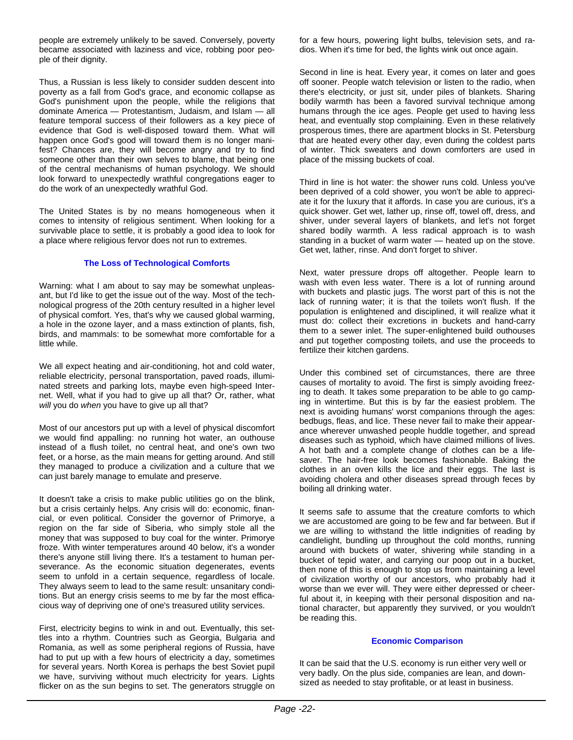people are extremely unlikely to be saved. Conversely, poverty became associated with laziness and vice, robbing poor people of their dignity.

Thus, a Russian is less likely to consider sudden descent into poverty as a fall from God's grace, and economic collapse as God's punishment upon the people, while the religions that dominate America — Protestantism, Judaism, and Islam — all feature temporal success of their followers as a key piece of evidence that God is well-disposed toward them. What will happen once God's good will toward them is no longer manifest? Chances are, they will become angry and try to find someone other than their own selves to blame, that being one of the central mechanisms of human psychology. We should look forward to unexpectedly wrathful congregations eager to do the work of an unexpectedly wrathful God.

The United States is by no means homogeneous when it comes to intensity of religious sentiment. When looking for a survivable place to settle, it is probably a good idea to look for a place where religious fervor does not run to extremes.

### **The Loss of Technological Comforts**

Warning: what I am about to say may be somewhat unpleasant, but I'd like to get the issue out of the way. Most of the technological progress of the 20th century resulted in a higher level of physical comfort. Yes, that's why we caused global warming, a hole in the ozone layer, and a mass extinction of plants, fish, birds, and mammals: to be somewhat more comfortable for a little while.

We all expect heating and air-conditioning, hot and cold water, reliable electricity, personal transportation, paved roads, illuminated streets and parking lots, maybe even high-speed Internet. Well, what if you had to give up all that? Or, rather, what *will* you do *when* you have to give up all that?

Most of our ancestors put up with a level of physical discomfort we would find appalling: no running hot water, an outhouse instead of a flush toilet, no central heat, and one's own two feet, or a horse, as the main means for getting around. And still they managed to produce a civilization and a culture that we can just barely manage to emulate and preserve.

It doesn't take a crisis to make public utilities go on the blink, but a crisis certainly helps. Any crisis will do: economic, financial, or even political. Consider the governor of Primorye, a region on the far side of Siberia, who simply stole all the money that was supposed to buy coal for the winter. Primorye froze. With winter temperatures around 40 below, it's a wonder there's anyone still living there. It's a testament to human perseverance. As the economic situation degenerates, events seem to unfold in a certain sequence, regardless of locale. They always seem to lead to the same result: unsanitary conditions. But an energy crisis seems to me by far the most efficacious way of depriving one of one's treasured utility services.

First, electricity begins to wink in and out. Eventually, this settles into a rhythm. Countries such as Georgia, Bulgaria and Romania, as well as some peripheral regions of Russia, have had to put up with a few hours of electricity a day, sometimes for several years. North Korea is perhaps the best Soviet pupil we have, surviving without much electricity for years. Lights flicker on as the sun begins to set. The generators struggle on

for a few hours, powering light bulbs, television sets, and radios. When it's time for bed, the lights wink out once again.

Second in line is heat. Every year, it comes on later and goes off sooner. People watch television or listen to the radio, when there's electricity, or just sit, under piles of blankets. Sharing bodily warmth has been a favored survival technique among humans through the ice ages. People get used to having less heat, and eventually stop complaining. Even in these relatively prosperous times, there are apartment blocks in St. Petersburg that are heated every other day, even during the coldest parts of winter. Thick sweaters and down comforters are used in place of the missing buckets of coal.

Third in line is hot water: the shower runs cold. Unless you've been deprived of a cold shower, you won't be able to appreciate it for the luxury that it affords. In case you are curious, it's a quick shower. Get wet, lather up, rinse off, towel off, dress, and shiver, under several layers of blankets, and let's not forget shared bodily warmth. A less radical approach is to wash standing in a bucket of warm water — heated up on the stove. Get wet, lather, rinse. And don't forget to shiver.

Next, water pressure drops off altogether. People learn to wash with even less water. There is a lot of running around with buckets and plastic jugs. The worst part of this is not the lack of running water; it is that the toilets won't flush. If the population is enlightened and disciplined, it will realize what it must do: collect their excretions in buckets and hand-carry them to a sewer inlet. The super-enlightened build outhouses and put together composting toilets, and use the proceeds to fertilize their kitchen gardens.

Under this combined set of circumstances, there are three causes of mortality to avoid. The first is simply avoiding freezing to death. It takes some preparation to be able to go camping in wintertime. But this is by far the easiest problem. The next is avoiding humans' worst companions through the ages: bedbugs, fleas, and lice. These never fail to make their appearance wherever unwashed people huddle together, and spread diseases such as typhoid, which have claimed millions of lives. A hot bath and a complete change of clothes can be a lifesaver. The hair-free look becomes fashionable. Baking the clothes in an oven kills the lice and their eggs. The last is avoiding cholera and other diseases spread through feces by boiling all drinking water.

It seems safe to assume that the creature comforts to which we are accustomed are going to be few and far between. But if we are willing to withstand the little indignities of reading by candlelight, bundling up throughout the cold months, running around with buckets of water, shivering while standing in a bucket of tepid water, and carrying our poop out in a bucket, then none of this is enough to stop us from maintaining a level of civilization worthy of our ancestors, who probably had it worse than we ever will. They were either depressed or cheerful about it, in keeping with their personal disposition and national character, but apparently they survived, or you wouldn't be reading this.

### **Economic Comparison**

It can be said that the U.S. economy is run either very well or very badly. On the plus side, companies are lean, and downsized as needed to stay profitable, or at least in business.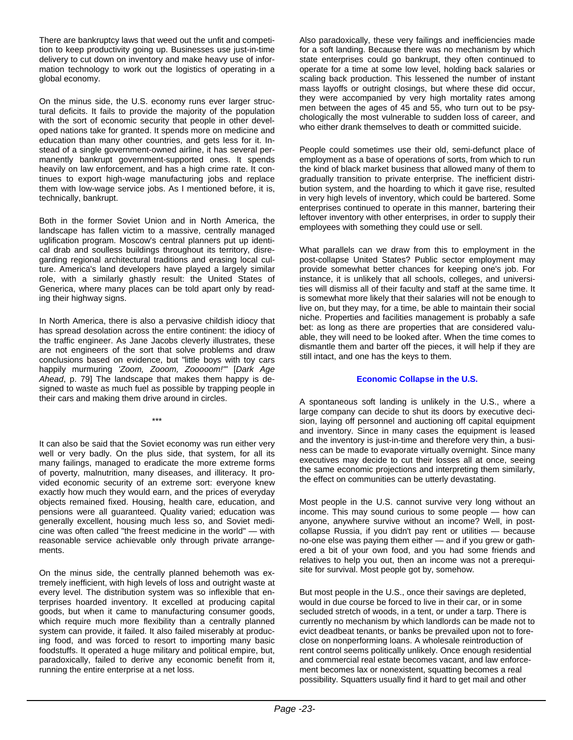There are bankruptcy laws that weed out the unfit and competition to keep productivity going up. Businesses use just-in-time delivery to cut down on inventory and make heavy use of information technology to work out the logistics of operating in a global economy.

On the minus side, the U.S. economy runs ever larger structural deficits. It fails to provide the majority of the population with the sort of economic security that people in other developed nations take for granted. It spends more on medicine and education than many other countries, and gets less for it. Instead of a single government-owned airline, it has several permanently bankrupt government-supported ones. It spends heavily on law enforcement, and has a high crime rate. It continues to export high-wage manufacturing jobs and replace them with low-wage service jobs. As I mentioned before, it is, technically, bankrupt.

Both in the former Soviet Union and in North America, the landscape has fallen victim to a massive, centrally managed uglification program. Moscow's central planners put up identical drab and soulless buildings throughout its territory, disregarding regional architectural traditions and erasing local culture. America's land developers have played a largely similar role, with a similarly ghastly result: the United States of Generica, where many places can be told apart only by reading their highway signs.

In North America, there is also a pervasive childish idiocy that has spread desolation across the entire continent: the idiocy of the traffic engineer. As Jane Jacobs cleverly illustrates, these are not engineers of the sort that solve problems and draw conclusions based on evidence, but "little boys with toy cars happily murmuring *'Zoom, Zooom, Zooooom!'"* [*Dark Age Ahead*, p. 79] The landscape that makes them happy is designed to waste as much fuel as possible by trapping people in their cars and making them drive around in circles.

\*\*\*

It can also be said that the Soviet economy was run either very well or very badly. On the plus side, that system, for all its many failings, managed to eradicate the more extreme forms of poverty, malnutrition, many diseases, and illiteracy. It provided economic security of an extreme sort: everyone knew exactly how much they would earn, and the prices of everyday objects remained fixed. Housing, health care, education, and pensions were all guaranteed. Quality varied; education was generally excellent, housing much less so, and Soviet medicine was often called "the freest medicine in the world" — with reasonable service achievable only through private arrangements.

On the minus side, the centrally planned behemoth was extremely inefficient, with high levels of loss and outright waste at every level. The distribution system was so inflexible that enterprises hoarded inventory. It excelled at producing capital goods, but when it came to manufacturing consumer goods, which require much more flexibility than a centrally planned system can provide, it failed. It also failed miserably at producing food, and was forced to resort to importing many basic foodstuffs. It operated a huge military and political empire, but, paradoxically, failed to derive any economic benefit from it, running the entire enterprise at a net loss.

Also paradoxically, these very failings and inefficiencies made for a soft landing. Because there was no mechanism by which state enterprises could go bankrupt, they often continued to operate for a time at some low level, holding back salaries or scaling back production. This lessened the number of instant mass layoffs or outright closings, but where these did occur, they were accompanied by very high mortality rates among men between the ages of 45 and 55, who turn out to be psychologically the most vulnerable to sudden loss of career, and who either drank themselves to death or committed suicide.

People could sometimes use their old, semi-defunct place of employment as a base of operations of sorts, from which to run the kind of black market business that allowed many of them to gradually transition to private enterprise. The inefficient distribution system, and the hoarding to which it gave rise, resulted in very high levels of inventory, which could be bartered. Some enterprises continued to operate in this manner, bartering their leftover inventory with other enterprises, in order to supply their employees with something they could use or sell.

What parallels can we draw from this to employment in the post-collapse United States? Public sector employment may provide somewhat better chances for keeping one's job. For instance, it is unlikely that all schools, colleges, and universities will dismiss all of their faculty and staff at the same time. It is somewhat more likely that their salaries will not be enough to live on, but they may, for a time, be able to maintain their social niche. Properties and facilities management is probably a safe bet: as long as there are properties that are considered valuable, they will need to be looked after. When the time comes to dismantle them and barter off the pieces, it will help if they are still intact, and one has the keys to them.

### **Economic Collapse in the U.S.**

A spontaneous soft landing is unlikely in the U.S., where a large company can decide to shut its doors by executive decision, laying off personnel and auctioning off capital equipment and inventory. Since in many cases the equipment is leased and the inventory is just-in-time and therefore very thin, a business can be made to evaporate virtually overnight. Since many executives may decide to cut their losses all at once, seeing the same economic projections and interpreting them similarly, the effect on communities can be utterly devastating.

Most people in the U.S. cannot survive very long without an income. This may sound curious to some people — how can anyone, anywhere survive without an income? Well, in postcollapse Russia, if you didn't pay rent or utilities — because no-one else was paying them either — and if you grew or gathered a bit of your own food, and you had some friends and relatives to help you out, then an income was not a prerequisite for survival. Most people got by, somehow.

But most people in the U.S., once their savings are depleted, would in due course be forced to live in their car, or in some secluded stretch of woods, in a tent, or under a tarp. There is currently no mechanism by which landlords can be made not to evict deadbeat tenants, or banks be prevailed upon not to foreclose on nonperforming loans. A wholesale reintroduction of rent control seems politically unlikely. Once enough residential and commercial real estate becomes vacant, and law enforcement becomes lax or nonexistent, squatting becomes a real possibility. Squatters usually find it hard to get mail and other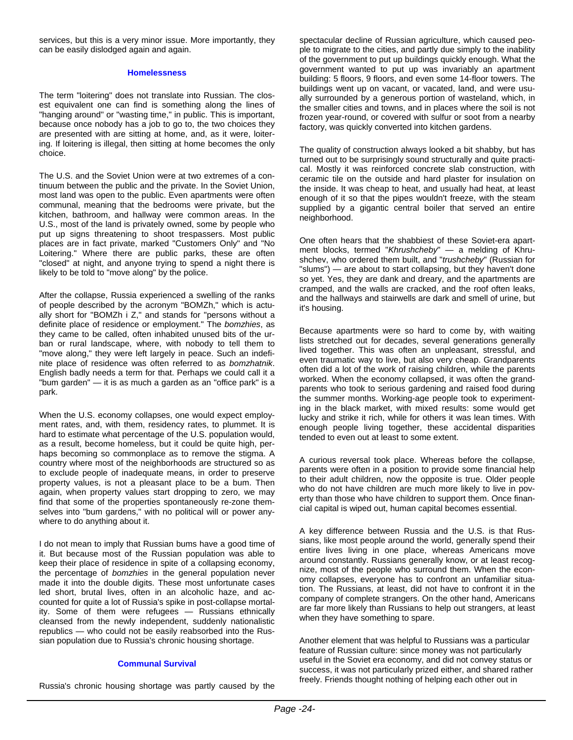services, but this is a very minor issue. More importantly, they can be easily dislodged again and again.

### **Homelessness**

The term "loitering" does not translate into Russian. The closest equivalent one can find is something along the lines of "hanging around" or "wasting time," in public. This is important, because once nobody has a job to go to, the two choices they are presented with are sitting at home, and, as it were, loitering. If loitering is illegal, then sitting at home becomes the only choice.

The U.S. and the Soviet Union were at two extremes of a continuum between the public and the private. In the Soviet Union, most land was open to the public. Even apartments were often communal, meaning that the bedrooms were private, but the kitchen, bathroom, and hallway were common areas. In the U.S., most of the land is privately owned, some by people who put up signs threatening to shoot trespassers. Most public places are in fact private, marked "Customers Only" and "No Loitering." Where there are public parks, these are often "closed" at night, and anyone trying to spend a night there is likely to be told to "move along" by the police.

After the collapse, Russia experienced a swelling of the ranks of people described by the acronym "BOMZh," which is actually short for "BOMZh i Z," and stands for "persons without a definite place of residence or employment." The *bomzhies*, as they came to be called, often inhabited unused bits of the urban or rural landscape, where, with nobody to tell them to "move along," they were left largely in peace. Such an indefinite place of residence was often referred to as *bomzhatnik*. English badly needs a term for that. Perhaps we could call it a "bum garden" — it is as much a garden as an "office park" is a park.

When the U.S. economy collapses, one would expect employment rates, and, with them, residency rates, to plummet. It is hard to estimate what percentage of the U.S. population would, as a result, become homeless, but it could be quite high, perhaps becoming so commonplace as to remove the stigma. A country where most of the neighborhoods are structured so as to exclude people of inadequate means, in order to preserve property values, is not a pleasant place to be a bum. Then again, when property values start dropping to zero, we may find that some of the properties spontaneously re-zone themselves into "bum gardens," with no political will or power anywhere to do anything about it.

I do not mean to imply that Russian bums have a good time of it. But because most of the Russian population was able to keep their place of residence in spite of a collapsing economy, the percentage of *bomzhies* in the general population never made it into the double digits. These most unfortunate cases led short, brutal lives, often in an alcoholic haze, and accounted for quite a lot of Russia's spike in post-collapse mortality. Some of them were refugees — Russians ethnically cleansed from the newly independent, suddenly nationalistic republics — who could not be easily reabsorbed into the Russian population due to Russia's chronic housing shortage.

### **Communal Survival**

Russia's chronic housing shortage was partly caused by the

spectacular decline of Russian agriculture, which caused people to migrate to the cities, and partly due simply to the inability of the government to put up buildings quickly enough. What the government wanted to put up was invariably an apartment building: 5 floors, 9 floors, and even some 14-floor towers. The buildings went up on vacant, or vacated, land, and were usually surrounded by a generous portion of wasteland, which, in the smaller cities and towns, and in places where the soil is not frozen year-round, or covered with sulfur or soot from a nearby factory, was quickly converted into kitchen gardens.

The quality of construction always looked a bit shabby, but has turned out to be surprisingly sound structurally and quite practical. Mostly it was reinforced concrete slab construction, with ceramic tile on the outside and hard plaster for insulation on the inside. It was cheap to heat, and usually had heat, at least enough of it so that the pipes wouldn't freeze, with the steam supplied by a gigantic central boiler that served an entire neighborhood.

One often hears that the shabbiest of these Soviet-era apartment blocks, termed "*Khrushcheby*" — a melding of Khrushchev, who ordered them built, and "*trushcheby*" (Russian for "slums") — are about to start collapsing, but they haven't done so yet. Yes, they are dank and dreary, and the apartments are cramped, and the walls are cracked, and the roof often leaks, and the hallways and stairwells are dark and smell of urine, but it's housing.

Because apartments were so hard to come by, with waiting lists stretched out for decades, several generations generally lived together. This was often an unpleasant, stressful, and even traumatic way to live, but also very cheap. Grandparents often did a lot of the work of raising children, while the parents worked. When the economy collapsed, it was often the grandparents who took to serious gardening and raised food during the summer months. Working-age people took to experimenting in the black market, with mixed results: some would get lucky and strike it rich, while for others it was lean times. With enough people living together, these accidental disparities tended to even out at least to some extent.

A curious reversal took place. Whereas before the collapse, parents were often in a position to provide some financial help to their adult children, now the opposite is true. Older people who do not have children are much more likely to live in poverty than those who have children to support them. Once financial capital is wiped out, human capital becomes essential.

A key difference between Russia and the U.S. is that Russians, like most people around the world, generally spend their entire lives living in one place, whereas Americans move around constantly. Russians generally know, or at least recognize, most of the people who surround them. When the economy collapses, everyone has to confront an unfamiliar situation. The Russians, at least, did not have to confront it in the company of complete strangers. On the other hand, Americans are far more likely than Russians to help out strangers, at least when they have something to spare.

Another element that was helpful to Russians was a particular feature of Russian culture: since money was not particularly useful in the Soviet era economy, and did not convey status or success, it was not particularly prized either, and shared rather freely. Friends thought nothing of helping each other out in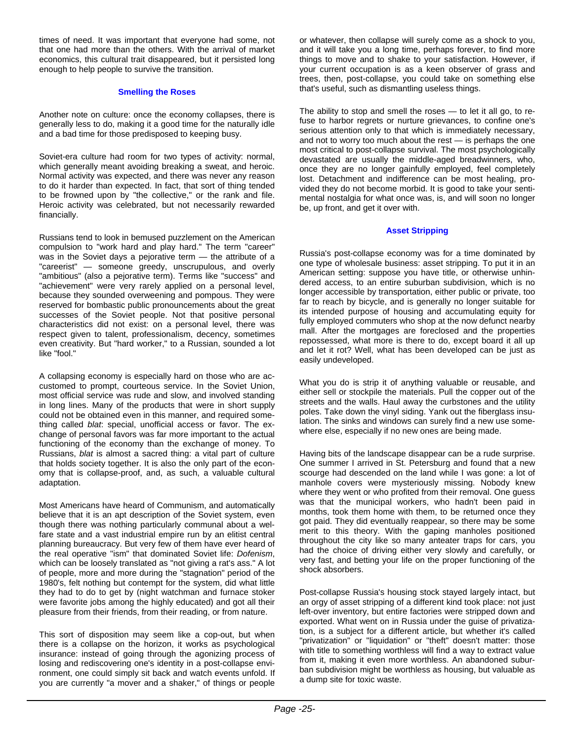times of need. It was important that everyone had some, not that one had more than the others. With the arrival of market economics, this cultural trait disappeared, but it persisted long enough to help people to survive the transition.

### **Smelling the Roses**

Another note on culture: once the economy collapses, there is generally less to do, making it a good time for the naturally idle and a bad time for those predisposed to keeping busy.

Soviet-era culture had room for two types of activity: normal, which generally meant avoiding breaking a sweat, and heroic. Normal activity was expected, and there was never any reason to do it harder than expected. In fact, that sort of thing tended to be frowned upon by "the collective," or the rank and file. Heroic activity was celebrated, but not necessarily rewarded financially.

Russians tend to look in bemused puzzlement on the American compulsion to "work hard and play hard." The term "career" was in the Soviet days a pejorative term — the attribute of a "careerist" — someone greedy, unscrupulous, and overly "ambitious" (also a pejorative term). Terms like "success" and "achievement" were very rarely applied on a personal level, because they sounded overweening and pompous. They were reserved for bombastic public pronouncements about the great successes of the Soviet people. Not that positive personal characteristics did not exist: on a personal level, there was respect given to talent, professionalism, decency, sometimes even creativity. But "hard worker," to a Russian, sounded a lot like "fool."

A collapsing economy is especially hard on those who are accustomed to prompt, courteous service. In the Soviet Union, most official service was rude and slow, and involved standing in long lines. Many of the products that were in short supply could not be obtained even in this manner, and required something called *blat*: special, unofficial access or favor. The exchange of personal favors was far more important to the actual functioning of the economy than the exchange of money. To Russians, *blat* is almost a sacred thing: a vital part of culture that holds society together. It is also the only part of the economy that is collapse-proof, and, as such, a valuable cultural adaptation.

Most Americans have heard of Communism, and automatically believe that it is an apt description of the Soviet system, even though there was nothing particularly communal about a welfare state and a vast industrial empire run by an elitist central planning bureaucracy. But very few of them have ever heard of the real operative "ism" that dominated Soviet life: *Dofenism*, which can be loosely translated as "not giving a rat's ass." A lot of people, more and more during the "stagnation" period of the 1980's, felt nothing but contempt for the system, did what little they had to do to get by (night watchman and furnace stoker were favorite jobs among the highly educated) and got all their pleasure from their friends, from their reading, or from nature.

This sort of disposition may seem like a cop-out, but when there is a collapse on the horizon, it works as psychological insurance: instead of going through the agonizing process of losing and rediscovering one's identity in a post-collapse environment, one could simply sit back and watch events unfold. If you are currently "a mover and a shaker," of things or people or whatever, then collapse will surely come as a shock to you, and it will take you a long time, perhaps forever, to find more things to move and to shake to your satisfaction. However, if your current occupation is as a keen observer of grass and trees, then, post-collapse, you could take on something else that's useful, such as dismantling useless things.

The ability to stop and smell the roses  $-$  to let it all go, to refuse to harbor regrets or nurture grievances, to confine one's serious attention only to that which is immediately necessary, and not to worry too much about the rest — is perhaps the one most critical to post-collapse survival. The most psychologically devastated are usually the middle-aged breadwinners, who, once they are no longer gainfully employed, feel completely lost. Detachment and indifference can be most healing, provided they do not become morbid. It is good to take your sentimental nostalgia for what once was, is, and will soon no longer be, up front, and get it over with.

#### **Asset Stripping**

Russia's post-collapse economy was for a time dominated by one type of wholesale business: asset stripping. To put it in an American setting: suppose you have title, or otherwise unhindered access, to an entire suburban subdivision, which is no longer accessible by transportation, either public or private, too far to reach by bicycle, and is generally no longer suitable for its intended purpose of housing and accumulating equity for fully employed commuters who shop at the now defunct nearby mall. After the mortgages are foreclosed and the properties repossessed, what more is there to do, except board it all up and let it rot? Well, what has been developed can be just as easily undeveloped.

What you do is strip it of anything valuable or reusable, and either sell or stockpile the materials. Pull the copper out of the streets and the walls. Haul away the curbstones and the utility poles. Take down the vinyl siding. Yank out the fiberglass insulation. The sinks and windows can surely find a new use somewhere else, especially if no new ones are being made.

Having bits of the landscape disappear can be a rude surprise. One summer I arrived in St. Petersburg and found that a new scourge had descended on the land while I was gone: a lot of manhole covers were mysteriously missing. Nobody knew where they went or who profited from their removal. One guess was that the municipal workers, who hadn't been paid in months, took them home with them, to be returned once they got paid. They did eventually reappear, so there may be some merit to this theory. With the gaping manholes positioned throughout the city like so many anteater traps for cars, you had the choice of driving either very slowly and carefully, or very fast, and betting your life on the proper functioning of the shock absorbers.

Post-collapse Russia's housing stock stayed largely intact, but an orgy of asset stripping of a different kind took place: not just left-over inventory, but entire factories were stripped down and exported. What went on in Russia under the guise of privatization, is a subject for a different article, but whether it's called "privatization" or "liquidation" or "theft" doesn't matter: those with title to something worthless will find a way to extract value from it, making it even more worthless. An abandoned suburban subdivision might be worthless as housing, but valuable as a dump site for toxic waste.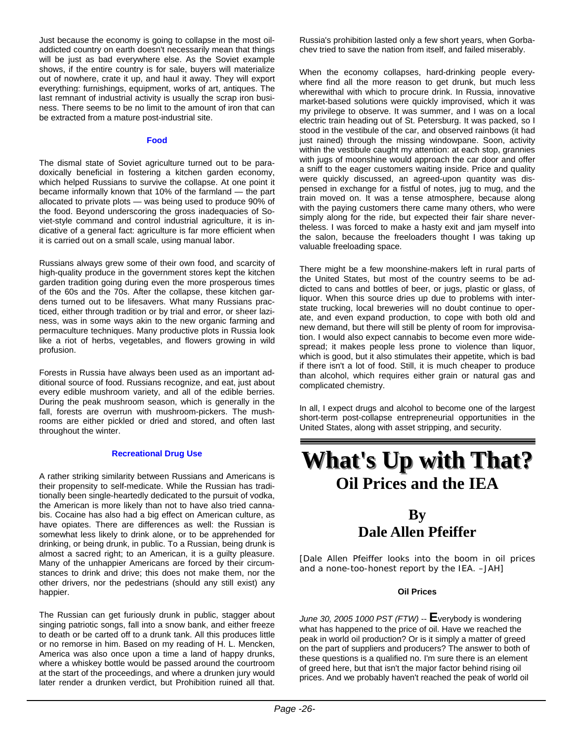Just because the economy is going to collapse in the most oiladdicted country on earth doesn't necessarily mean that things will be just as bad everywhere else. As the Soviet example shows, if the entire country is for sale, buyers will materialize out of nowhere, crate it up, and haul it away. They will export everything: furnishings, equipment, works of art, antiques. The last remnant of industrial activity is usually the scrap iron business. There seems to be no limit to the amount of iron that can be extracted from a mature post-industrial site.

### **Food**

The dismal state of Soviet agriculture turned out to be paradoxically beneficial in fostering a kitchen garden economy, which helped Russians to survive the collapse. At one point it became informally known that 10% of the farmland — the part allocated to private plots — was being used to produce 90% of the food. Beyond underscoring the gross inadequacies of Soviet-style command and control industrial agriculture, it is indicative of a general fact: agriculture is far more efficient when it is carried out on a small scale, using manual labor.

Russians always grew some of their own food, and scarcity of high-quality produce in the government stores kept the kitchen garden tradition going during even the more prosperous times of the 60s and the 70s. After the collapse, these kitchen gardens turned out to be lifesavers. What many Russians practiced, either through tradition or by trial and error, or sheer laziness, was in some ways akin to the new organic farming and permaculture techniques. Many productive plots in Russia look like a riot of herbs, vegetables, and flowers growing in wild profusion.

Forests in Russia have always been used as an important additional source of food. Russians recognize, and eat, just about every edible mushroom variety, and all of the edible berries. During the peak mushroom season, which is generally in the fall, forests are overrun with mushroom-pickers. The mushrooms are either pickled or dried and stored, and often last throughout the winter.

### **Recreational Drug Use**

A rather striking similarity between Russians and Americans is their propensity to self-medicate. While the Russian has traditionally been single-heartedly dedicated to the pursuit of vodka, the American is more likely than not to have also tried cannabis. Cocaine has also had a big effect on American culture, as have opiates. There are differences as well: the Russian is somewhat less likely to drink alone, or to be apprehended for drinking, or being drunk, in public. To a Russian, being drunk is almost a sacred right; to an American, it is a guilty pleasure. Many of the unhappier Americans are forced by their circumstances to drink and drive; this does not make them, nor the other drivers, nor the pedestrians (should any still exist) any happier.

The Russian can get furiously drunk in public, stagger about singing patriotic songs, fall into a snow bank, and either freeze to death or be carted off to a drunk tank. All this produces little or no remorse in him. Based on my reading of H. L. Mencken, America was also once upon a time a land of happy drunks, where a whiskey bottle would be passed around the courtroom at the start of the proceedings, and where a drunken jury would later render a drunken verdict, but Prohibition ruined all that.

Russia's prohibition lasted only a few short years, when Gorbachev tried to save the nation from itself, and failed miserably.

When the economy collapses, hard-drinking people everywhere find all the more reason to get drunk, but much less wherewithal with which to procure drink. In Russia, innovative market-based solutions were quickly improvised, which it was my privilege to observe. It was summer, and I was on a local electric train heading out of St. Petersburg. It was packed, so I stood in the vestibule of the car, and observed rainbows (it had just rained) through the missing windowpane. Soon, activity within the vestibule caught my attention: at each stop, grannies with jugs of moonshine would approach the car door and offer a sniff to the eager customers waiting inside. Price and quality were quickly discussed, an agreed-upon quantity was dispensed in exchange for a fistful of notes, jug to mug, and the train moved on. It was a tense atmosphere, because along with the paying customers there came many others, who were simply along for the ride, but expected their fair share nevertheless. I was forced to make a hasty exit and jam myself into the salon, because the freeloaders thought I was taking up valuable freeloading space.

There might be a few moonshine-makers left in rural parts of the United States, but most of the country seems to be addicted to cans and bottles of beer, or jugs, plastic or glass, of liquor. When this source dries up due to problems with interstate trucking, local breweries will no doubt continue to operate, and even expand production, to cope with both old and new demand, but there will still be plenty of room for improvisation. I would also expect cannabis to become even more widespread; it makes people less prone to violence than liquor, which is good, but it also stimulates their appetite, which is bad if there isn't a lot of food. Still, it is much cheaper to produce than alcohol, which requires either grain or natural gas and complicated chemistry.

In all, I expect drugs and alcohol to become one of the largest short-term post-collapse entrepreneurial opportunities in the United States, along with asset stripping, and security.

# **What's Up with That? What's Up with That? Oil Prices and the IEA**

# **By Dale Allen Pfeiffer**

*[Dale Allen Pfeiffer looks into the boom in oil prices and a none-too-honest report by the IEA. –JAH]*

### **Oil Prices**

*June 30, 2005 1000 PST (FTW)* -- **E**verybody is wondering what has happened to the price of oil. Have we reached the peak in world oil production? Or is it simply a matter of greed on the part of suppliers and producers? The answer to both of these questions is a qualified no. I'm sure there is an element of greed here, but that isn't the major factor behind rising oil prices. And we probably haven't reached the peak of world oil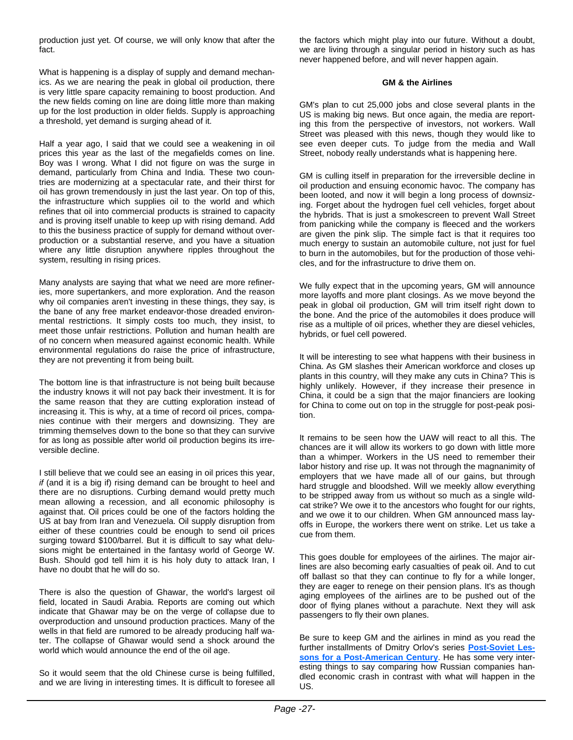production just yet. Of course, we will only know that after the fact.

What is happening is a display of supply and demand mechanics. As we are nearing the peak in global oil production, there is very little spare capacity remaining to boost production. And the new fields coming on line are doing little more than making up for the lost production in older fields. Supply is approaching a threshold, yet demand is surging ahead of it.

Half a year ago, I said that we could see a weakening in oil prices this year as the last of the megafields comes on line. Boy was I wrong. What I did not figure on was the surge in demand, particularly from China and India. These two countries are modernizing at a spectacular rate, and their thirst for oil has grown tremendously in just the last year. On top of this, the infrastructure which supplies oil to the world and which refines that oil into commercial products is strained to capacity and is proving itself unable to keep up with rising demand. Add to this the business practice of supply for demand without overproduction or a substantial reserve, and you have a situation where any little disruption anywhere ripples throughout the system, resulting in rising prices.

Many analysts are saying that what we need are more refineries, more supertankers, and more exploration. And the reason why oil companies aren't investing in these things, they say, is the bane of any free market endeavor-those dreaded environmental restrictions. It simply costs too much, they insist, to meet those unfair restrictions. Pollution and human health are of no concern when measured against economic health. While environmental regulations do raise the price of infrastructure, they are not preventing it from being built.

The bottom line is that infrastructure is not being built because the industry knows it will not pay back their investment. It is for the same reason that they are cutting exploration instead of increasing it. This is why, at a time of record oil prices, companies continue with their mergers and downsizing. They are trimming themselves down to the bone so that they can survive for as long as possible after world oil production begins its irreversible decline.

I still believe that we could see an easing in oil prices this year, *if* (and it is a big if) rising demand can be brought to heel and there are no disruptions. Curbing demand would pretty much mean allowing a recession, and all economic philosophy is against that. Oil prices could be one of the factors holding the US at bay from Iran and Venezuela. Oil supply disruption from either of these countries could be enough to send oil prices surging toward \$100/barrel. But it is difficult to say what delusions might be entertained in the fantasy world of George W. Bush. Should god tell him it is his holy duty to attack Iran, I have no doubt that he will do so.

There is also the question of Ghawar, the world's largest oil field, located in Saudi Arabia. Reports are coming out which indicate that Ghawar may be on the verge of collapse due to overproduction and unsound production practices. Many of the wells in that field are rumored to be already producing half water. The collapse of Ghawar would send a shock around the world which would announce the end of the oil age.

So it would seem that the old Chinese curse is being fulfilled, and we are living in interesting times. It is difficult to foresee all the factors which might play into our future. Without a doubt, we are living through a singular period in history such as has never happened before, and will never happen again.

### **GM & the Airlines**

GM's plan to cut 25,000 jobs and close several plants in the US is making big news. But once again, the media are reporting this from the perspective of investors, not workers. Wall Street was pleased with this news, though they would like to see even deeper cuts. To judge from the media and Wall Street, nobody really understands what is happening here.

GM is culling itself in preparation for the irreversible decline in oil production and ensuing economic havoc. The company has been looted, and now it will begin a long process of downsizing. Forget about the hydrogen fuel cell vehicles, forget about the hybrids. That is just a smokescreen to prevent Wall Street from panicking while the company is fleeced and the workers are given the pink slip. The simple fact is that it requires too much energy to sustain an automobile culture, not just for fuel to burn in the automobiles, but for the production of those vehicles, and for the infrastructure to drive them on.

We fully expect that in the upcoming years, GM will announce more layoffs and more plant closings. As we move beyond the peak in global oil production, GM will trim itself right down to the bone. And the price of the automobiles it does produce will rise as a multiple of oil prices, whether they are diesel vehicles, hybrids, or fuel cell powered.

It will be interesting to see what happens with their business in China. As GM slashes their American workforce and closes up plants in this country, will they make any cuts in China? This is highly unlikely. However, if they increase their presence in China, it could be a sign that the major financiers are looking for China to come out on top in the struggle for post-peak position.

It remains to be seen how the UAW will react to all this. The chances are it will allow its workers to go down with little more than a whimper. Workers in the US need to remember their labor history and rise up. It was not through the magnanimity of employers that we have made all of our gains, but through hard struggle and bloodshed. Will we meekly allow everything to be stripped away from us without so much as a single wildcat strike? We owe it to the ancestors who fought for our rights, and we owe it to our children. When GM announced mass layoffs in Europe, the workers there went on strike. Let us take a cue from them.

This goes double for employees of the airlines. The major airlines are also becoming early casualties of peak oil. And to cut off ballast so that they can continue to fly for a while longer, they are eager to renege on their pension plans. It's as though aging employees of the airlines are to be pushed out of the door of flying planes without a parachute. Next they will ask passengers to fly their own planes.

Be sure to keep GM and the airlines in mind as you read the further installments of Dmitry Orlov's series **Post-Soviet Lessons for a Post-American Century**. He has some very interesting things to say comparing how Russian companies handled economic crash in contrast with what will happen in the US.